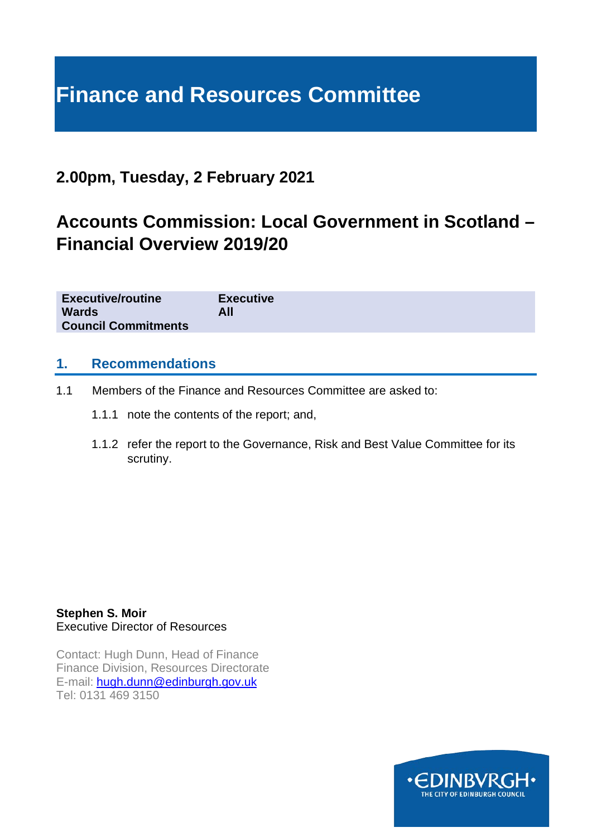# **Finance and Resources Committee**

# **2.00pm, Tuesday, 2 February 2021**

# **Accounts Commission: Local Government in Scotland – Financial Overview 2019/20**

| <b>Executive/routine</b>   | <b>Executive</b> |
|----------------------------|------------------|
| <b>Wards</b>               | All              |
| <b>Council Commitments</b> |                  |

## **1. Recommendations**

- 1.1 Members of the Finance and Resources Committee are asked to:
	- 1.1.1 note the contents of the report; and,
	- 1.1.2 refer the report to the Governance, Risk and Best Value Committee for its scrutiny.

**Stephen S. Moir**  Executive Director of Resources

Contact: Hugh Dunn, Head of Finance Finance Division, Resources Directorate E-mail: [hugh.dunn@edinburgh.gov.uk](mailto:hugh.dunn@edinburgh.gov.uk) Tel: 0131 469 3150

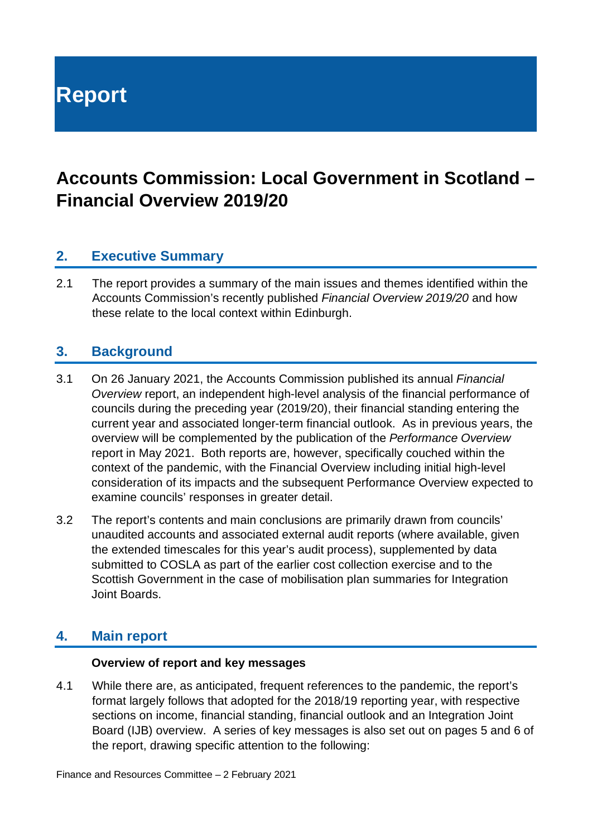**Report**

# **Accounts Commission: Local Government in Scotland – Financial Overview 2019/20**

# **2. Executive Summary**

2.1 The report provides a summary of the main issues and themes identified within the Accounts Commission's recently published *Financial Overview 2019/20* and how these relate to the local context within Edinburgh.

# **3. Background**

- 3.1 On 26 January 2021, the Accounts Commission published its annual *Financial Overview* report, an independent high-level analysis of the financial performance of councils during the preceding year (2019/20), their financial standing entering the current year and associated longer-term financial outlook. As in previous years, the overview will be complemented by the publication of the *Performance Overview* report in May 2021. Both reports are, however, specifically couched within the context of the pandemic, with the Financial Overview including initial high-level consideration of its impacts and the subsequent Performance Overview expected to examine councils' responses in greater detail.
- 3.2 The report's contents and main conclusions are primarily drawn from councils' unaudited accounts and associated external audit reports (where available, given the extended timescales for this year's audit process), supplemented by data submitted to COSLA as part of the earlier cost collection exercise and to the Scottish Government in the case of mobilisation plan summaries for Integration Joint Boards.

# **4. Main report**

#### **Overview of report and key messages**

4.1 While there are, as anticipated, frequent references to the pandemic, the report's format largely follows that adopted for the 2018/19 reporting year, with respective sections on income, financial standing, financial outlook and an Integration Joint Board (IJB) overview. A series of key messages is also set out on pages 5 and 6 of the report, drawing specific attention to the following: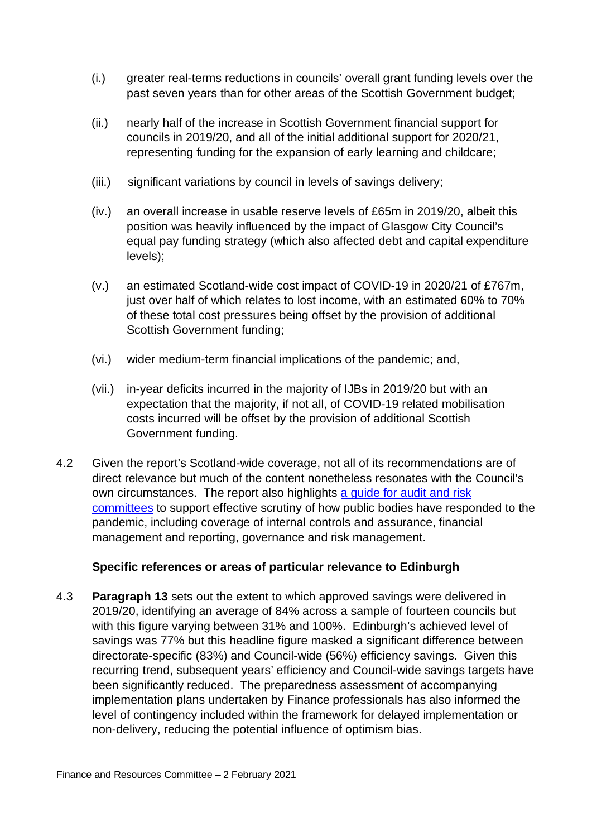- (i.) greater real-terms reductions in councils' overall grant funding levels over the past seven years than for other areas of the Scottish Government budget;
- (ii.) nearly half of the increase in Scottish Government financial support for councils in 2019/20, and all of the initial additional support for 2020/21, representing funding for the expansion of early learning and childcare;
- (iii.) significant variations by council in levels of savings delivery;
- (iv.) an overall increase in usable reserve levels of £65m in 2019/20, albeit this position was heavily influenced by the impact of Glasgow City Council's equal pay funding strategy (which also affected debt and capital expenditure levels);
- (v.) an estimated Scotland-wide cost impact of COVID-19 in 2020/21 of £767m, just over half of which relates to lost income, with an estimated 60% to 70% of these total cost pressures being offset by the provision of additional Scottish Government funding;
- (vi.) wider medium-term financial implications of the pandemic; and,
- (vii.) in-year deficits incurred in the majority of IJBs in 2019/20 but with an expectation that the majority, if not all, of COVID-19 related mobilisation costs incurred will be offset by the provision of additional Scottish Government funding.
- 4.2 Given the report's Scotland-wide coverage, not all of its recommendations are of direct relevance but much of the content nonetheless resonates with the Council's own circumstances. The report also highlights [a guide for audit and risk](https://www.audit-scotland.gov.uk/uploads/docs/report/2020/as_200825_covid19_guide_audit_risk_comm.pdf)  [committees](https://www.audit-scotland.gov.uk/uploads/docs/report/2020/as_200825_covid19_guide_audit_risk_comm.pdf) to support effective scrutiny of how public bodies have responded to the pandemic, including coverage of internal controls and assurance, financial management and reporting, governance and risk management.

### **Specific references or areas of particular relevance to Edinburgh**

4.3 **Paragraph 13** sets out the extent to which approved savings were delivered in 2019/20, identifying an average of 84% across a sample of fourteen councils but with this figure varying between 31% and 100%. Edinburgh's achieved level of savings was 77% but this headline figure masked a significant difference between directorate-specific (83%) and Council-wide (56%) efficiency savings. Given this recurring trend, subsequent years' efficiency and Council-wide savings targets have been significantly reduced. The preparedness assessment of accompanying implementation plans undertaken by Finance professionals has also informed the level of contingency included within the framework for delayed implementation or non-delivery, reducing the potential influence of optimism bias.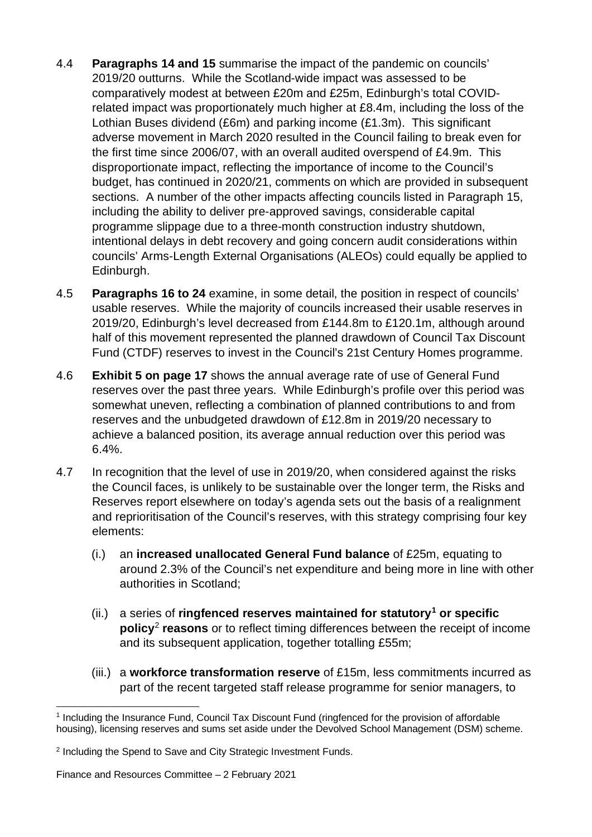- 4.4 **Paragraphs 14 and 15** summarise the impact of the pandemic on councils' 2019/20 outturns. While the Scotland-wide impact was assessed to be comparatively modest at between £20m and £25m, Edinburgh's total COVIDrelated impact was proportionately much higher at £8.4m, including the loss of the Lothian Buses dividend (£6m) and parking income (£1.3m). This significant adverse movement in March 2020 resulted in the Council failing to break even for the first time since 2006/07, with an overall audited overspend of £4.9m. This disproportionate impact, reflecting the importance of income to the Council's budget, has continued in 2020/21, comments on which are provided in subsequent sections. A number of the other impacts affecting councils listed in Paragraph 15, including the ability to deliver pre-approved savings, considerable capital programme slippage due to a three-month construction industry shutdown, intentional delays in debt recovery and going concern audit considerations within councils' Arms-Length External Organisations (ALEOs) could equally be applied to Edinburgh.
- 4.5 **Paragraphs 16 to 24** examine, in some detail, the position in respect of councils' usable reserves. While the majority of councils increased their usable reserves in 2019/20, Edinburgh's level decreased from £144.8m to £120.1m, although around half of this movement represented the planned drawdown of Council Tax Discount Fund (CTDF) reserves to invest in the Council's 21st Century Homes programme.
- 4.6 **Exhibit 5 on page 17** shows the annual average rate of use of General Fund reserves over the past three years. While Edinburgh's profile over this period was somewhat uneven, reflecting a combination of planned contributions to and from reserves and the unbudgeted drawdown of £12.8m in 2019/20 necessary to achieve a balanced position, its average annual reduction over this period was 6.4%.
- 4.7 In recognition that the level of use in 2019/20, when considered against the risks the Council faces, is unlikely to be sustainable over the longer term, the Risks and Reserves report elsewhere on today's agenda sets out the basis of a realignment and reprioritisation of the Council's reserves, with this strategy comprising four key elements:
	- (i.) an **increased unallocated General Fund balance** of £25m, equating to around 2.3% of the Council's net expenditure and being more in line with other authorities in Scotland;
	- (ii.) a series of **ringfenced reserves maintained for statutory[1](#page-3-0) or specific policy**[2](#page-3-1) **reasons** or to reflect timing differences between the receipt of income and its subsequent application, together totalling £55m;
	- (iii.) a **workforce transformation reserve** of £15m, less commitments incurred as part of the recent targeted staff release programme for senior managers, to

<span id="page-3-0"></span><sup>1</sup> Including the Insurance Fund, Council Tax Discount Fund (ringfenced for the provision of affordable housing), licensing reserves and sums set aside under the Devolved School Management (DSM) scheme.

<span id="page-3-1"></span><sup>&</sup>lt;sup>2</sup> Including the Spend to Save and City Strategic Investment Funds.

Finance and Resources Committee – 2 February 2021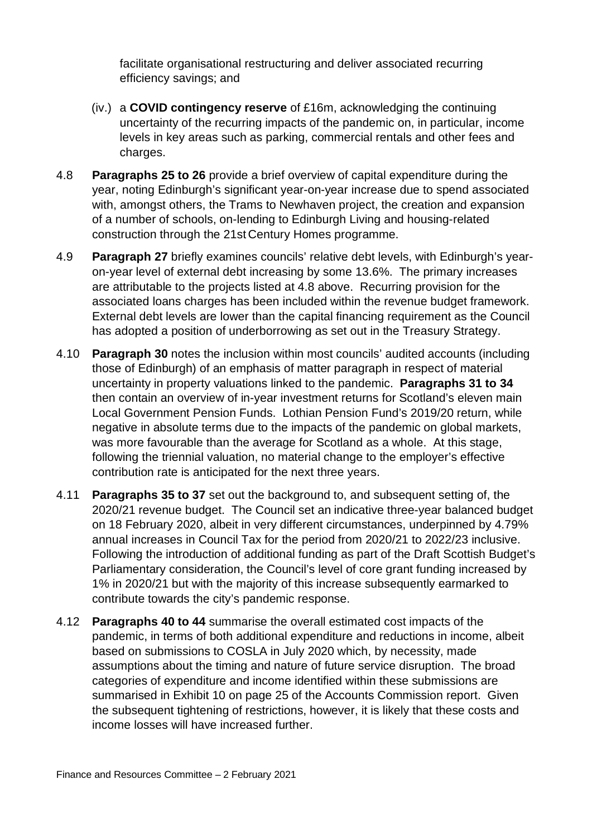facilitate organisational restructuring and deliver associated recurring efficiency savings; and

- (iv.) a **COVID contingency reserve** of £16m, acknowledging the continuing uncertainty of the recurring impacts of the pandemic on, in particular, income levels in key areas such as parking, commercial rentals and other fees and charges.
- 4.8 **Paragraphs 25 to 26** provide a brief overview of capital expenditure during the year, noting Edinburgh's significant year-on-year increase due to spend associated with, amongst others, the Trams to Newhaven project, the creation and expansion of a number of schools, on-lending to Edinburgh Living and housing-related construction through the 21st Century Homes programme.
- 4.9 **Paragraph 27** briefly examines councils' relative debt levels, with Edinburgh's yearon-year level of external debt increasing by some 13.6%. The primary increases are attributable to the projects listed at 4.8 above. Recurring provision for the associated loans charges has been included within the revenue budget framework. External debt levels are lower than the capital financing requirement as the Council has adopted a position of underborrowing as set out in the Treasury Strategy.
- 4.10 **Paragraph 30** notes the inclusion within most councils' audited accounts (including those of Edinburgh) of an emphasis of matter paragraph in respect of material uncertainty in property valuations linked to the pandemic. **Paragraphs 31 to 34** then contain an overview of in-year investment returns for Scotland's eleven main Local Government Pension Funds. Lothian Pension Fund's 2019/20 return, while negative in absolute terms due to the impacts of the pandemic on global markets, was more favourable than the average for Scotland as a whole. At this stage, following the triennial valuation, no material change to the employer's effective contribution rate is anticipated for the next three years.
- 4.11 **Paragraphs 35 to 37** set out the background to, and subsequent setting of, the 2020/21 revenue budget. The Council set an indicative three-year balanced budget on 18 February 2020, albeit in very different circumstances, underpinned by 4.79% annual increases in Council Tax for the period from 2020/21 to 2022/23 inclusive. Following the introduction of additional funding as part of the Draft Scottish Budget's Parliamentary consideration, the Council's level of core grant funding increased by 1% in 2020/21 but with the majority of this increase subsequently earmarked to contribute towards the city's pandemic response.
- 4.12 **Paragraphs 40 to 44** summarise the overall estimated cost impacts of the pandemic, in terms of both additional expenditure and reductions in income, albeit based on submissions to COSLA in July 2020 which, by necessity, made assumptions about the timing and nature of future service disruption. The broad categories of expenditure and income identified within these submissions are summarised in Exhibit 10 on page 25 of the Accounts Commission report. Given the subsequent tightening of restrictions, however, it is likely that these costs and income losses will have increased further.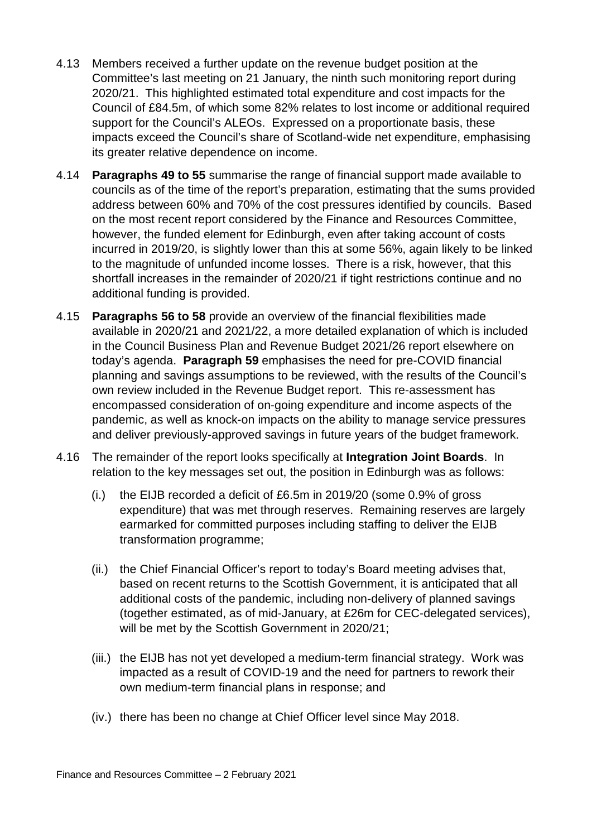- 4.13 Members received a further update on the revenue budget position at the Committee's last meeting on 21 January, the ninth such monitoring report during 2020/21. This highlighted estimated total expenditure and cost impacts for the Council of £84.5m, of which some 82% relates to lost income or additional required support for the Council's ALEOs. Expressed on a proportionate basis, these impacts exceed the Council's share of Scotland-wide net expenditure, emphasising its greater relative dependence on income.
- 4.14 **Paragraphs 49 to 55** summarise the range of financial support made available to councils as of the time of the report's preparation, estimating that the sums provided address between 60% and 70% of the cost pressures identified by councils. Based on the most recent report considered by the Finance and Resources Committee, however, the funded element for Edinburgh, even after taking account of costs incurred in 2019/20, is slightly lower than this at some 56%, again likely to be linked to the magnitude of unfunded income losses. There is a risk, however, that this shortfall increases in the remainder of 2020/21 if tight restrictions continue and no additional funding is provided.
- 4.15 **Paragraphs 56 to 58** provide an overview of the financial flexibilities made available in 2020/21 and 2021/22, a more detailed explanation of which is included in the Council Business Plan and Revenue Budget 2021/26 report elsewhere on today's agenda. **Paragraph 59** emphasises the need for pre-COVID financial planning and savings assumptions to be reviewed, with the results of the Council's own review included in the Revenue Budget report. This re-assessment has encompassed consideration of on-going expenditure and income aspects of the pandemic, as well as knock-on impacts on the ability to manage service pressures and deliver previously-approved savings in future years of the budget framework.
- 4.16 The remainder of the report looks specifically at **Integration Joint Boards**. In relation to the key messages set out, the position in Edinburgh was as follows:
	- (i.) the EIJB recorded a deficit of £6.5m in 2019/20 (some 0.9% of gross expenditure) that was met through reserves. Remaining reserves are largely earmarked for committed purposes including staffing to deliver the EIJB transformation programme;
	- (ii.) the Chief Financial Officer's report to today's Board meeting advises that, based on recent returns to the Scottish Government, it is anticipated that all additional costs of the pandemic, including non-delivery of planned savings (together estimated, as of mid-January, at £26m for CEC-delegated services), will be met by the Scottish Government in 2020/21;
	- (iii.) the EIJB has not yet developed a medium-term financial strategy. Work was impacted as a result of COVID-19 and the need for partners to rework their own medium-term financial plans in response; and
	- (iv.) there has been no change at Chief Officer level since May 2018.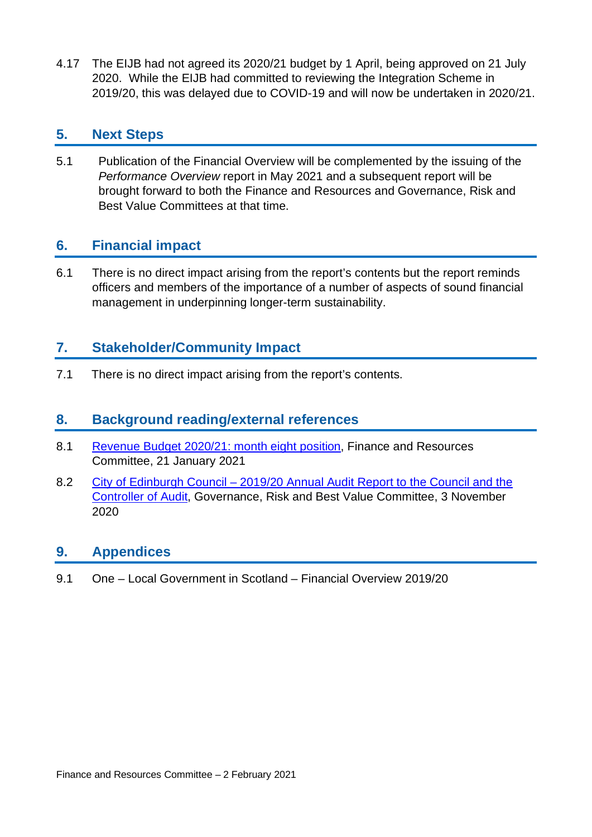4.17 The EIJB had not agreed its 2020/21 budget by 1 April, being approved on 21 July 2020. While the EIJB had committed to reviewing the Integration Scheme in 2019/20, this was delayed due to COVID-19 and will now be undertaken in 2020/21.

# **5. Next Steps**

5.1 Publication of the Financial Overview will be complemented by the issuing of the *Performance Overview* report in May 2021 and a subsequent report will be brought forward to both the Finance and Resources and Governance, Risk and Best Value Committees at that time.

# **6. Financial impact**

6.1 There is no direct impact arising from the report's contents but the report reminds officers and members of the importance of a number of aspects of sound financial management in underpinning longer-term sustainability.

# **7. Stakeholder/Community Impact**

7.1 There is no direct impact arising from the report's contents.

## **8. Background reading/external references**

- 8.1 Revenue [Budget 2020/21: month eight position,](https://democracy.edinburgh.gov.uk/documents/s30426/7.1%20-%20Revenue%20Budget%20202021%20month%20eight%20position.pdf) Finance and Resources Committee, 21 January 2021
- 8.2 City of Edinburgh Council 2019/20 [Annual Audit Report to the Council and the](https://democracy.edinburgh.gov.uk/documents/s28452/8.2%20-%20201920%20Annual%20Audit%20Report.pdf)  [Controller of Audit,](https://democracy.edinburgh.gov.uk/documents/s28452/8.2%20-%20201920%20Annual%20Audit%20Report.pdf) Governance, Risk and Best Value Committee, 3 November 2020

# **9. Appendices**

9.1 One – Local Government in Scotland – Financial Overview 2019/20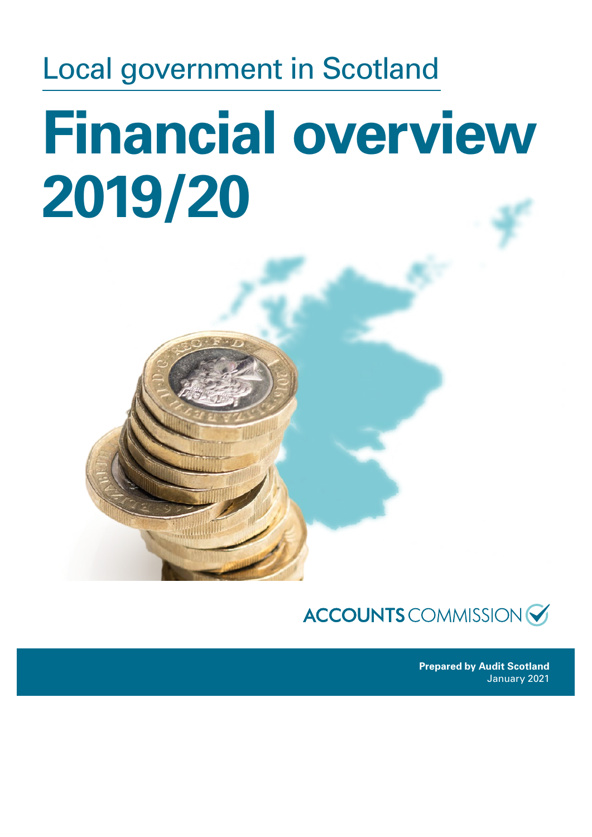# Local government in Scotland **Financial overview 2019/20**

# **ACCOUNTS** COMMISSION

**Prepared by Audit Scotland** January 2021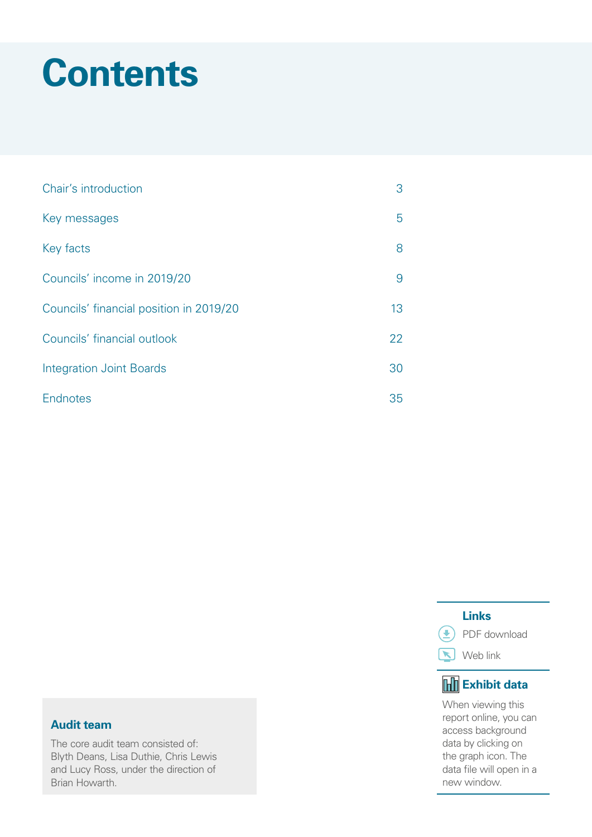# **Contents**

| Chair's introduction                    | 3  |
|-----------------------------------------|----|
| Key messages                            | 5  |
| Key facts                               | 8  |
| Councils' income in 2019/20             | 9  |
| Councils' financial position in 2019/20 | 13 |
| Councils' financial outlook             | 22 |
| <b>Integration Joint Boards</b>         | 30 |
| Endnotes                                | 35 |

#### **Audit team**

The core audit team consisted of: Blyth Deans, Lisa Duthie, Chris Lewis and Lucy Ross, under the direction of Brian Howarth.

# **Links**

**D** PDF download

Web link

# **Exhibit data**

When viewing this report online, you can access background data by clicking on the graph icon. The data file will open in a new window.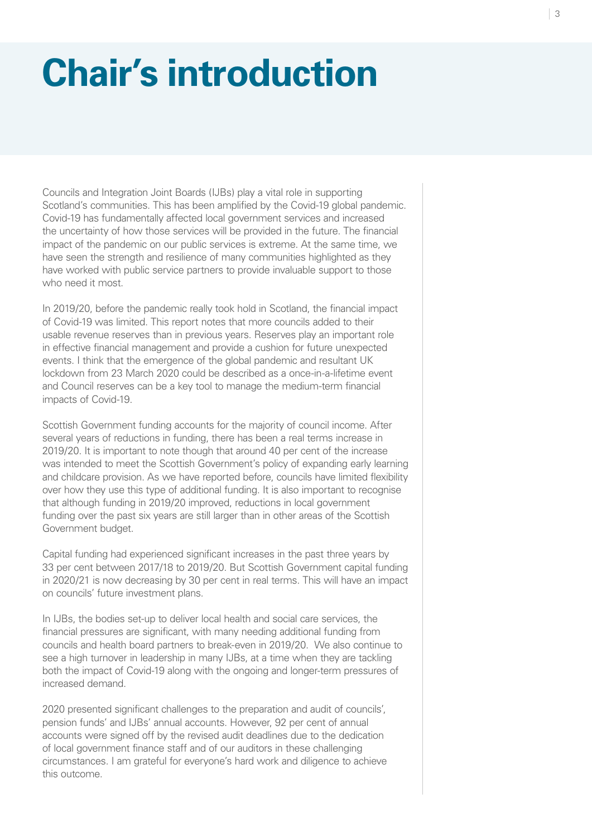# <span id="page-9-0"></span>**Chair's introduction**

Councils and Integration Joint Boards (IJBs) play a vital role in supporting Scotland's communities. This has been amplified by the Covid-19 global pandemic. Covid-19 has fundamentally affected local government services and increased the uncertainty of how those services will be provided in the future. The financial impact of the pandemic on our public services is extreme. At the same time, we have seen the strength and resilience of many communities highlighted as they have worked with public service partners to provide invaluable support to those who need it most.

In 2019/20, before the pandemic really took hold in Scotland, the financial impact of Covid-19 was limited. This report notes that more councils added to their usable revenue reserves than in previous years. Reserves play an important role in effective financial management and provide a cushion for future unexpected events. I think that the emergence of the global pandemic and resultant UK lockdown from 23 March 2020 could be described as a once-in-a-lifetime event and Council reserves can be a key tool to manage the medium-term financial impacts of Covid-19.

Scottish Government funding accounts for the majority of council income. After several years of reductions in funding, there has been a real terms increase in 2019/20. It is important to note though that around 40 per cent of the increase was intended to meet the Scottish Government's policy of expanding early learning and childcare provision. As we have reported before, councils have limited flexibility over how they use this type of additional funding. It is also important to recognise that although funding in 2019/20 improved, reductions in local government funding over the past six years are still larger than in other areas of the Scottish Government budget.

Capital funding had experienced significant increases in the past three years by 33 per cent between 2017/18 to 2019/20. But Scottish Government capital funding in 2020/21 is now decreasing by 30 per cent in real terms. This will have an impact on councils' future investment plans.

In IJBs, the bodies set-up to deliver local health and social care services, the financial pressures are significant, with many needing additional funding from councils and health board partners to break-even in 2019/20. We also continue to see a high turnover in leadership in many IJBs, at a time when they are tackling both the impact of Covid-19 along with the ongoing and longer-term pressures of increased demand.

2020 presented significant challenges to the preparation and audit of councils', pension funds' and IJBs' annual accounts. However, 92 per cent of annual accounts were signed off by the revised audit deadlines due to the dedication of local government finance staff and of our auditors in these challenging circumstances. I am grateful for everyone's hard work and diligence to achieve this outcome.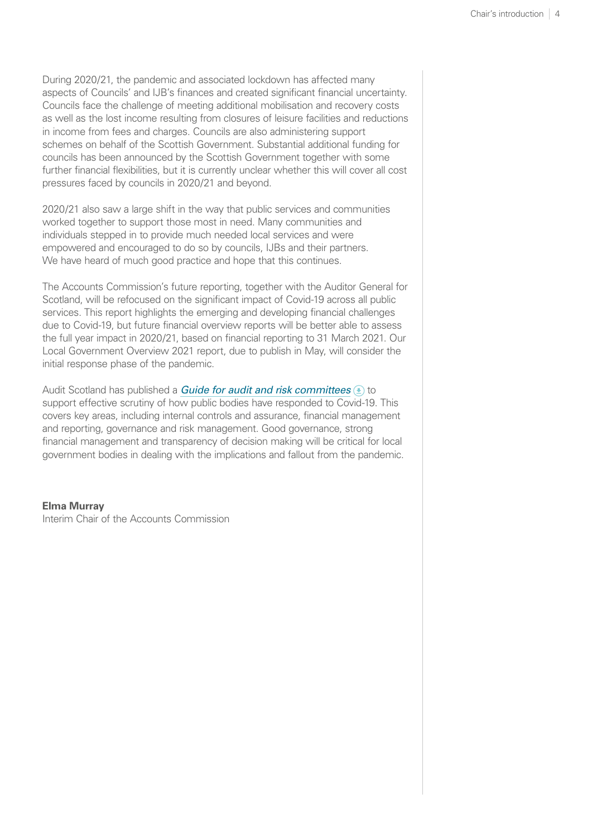During 2020/21, the pandemic and associated lockdown has affected many aspects of Councils' and IJB's finances and created significant financial uncertainty. Councils face the challenge of meeting additional mobilisation and recovery costs as well as the lost income resulting from closures of leisure facilities and reductions in income from fees and charges. Councils are also administering support schemes on behalf of the Scottish Government. Substantial additional funding for councils has been announced by the Scottish Government together with some further financial flexibilities, but it is currently unclear whether this will cover all cost pressures faced by councils in 2020/21 and beyond.

2020/21 also saw a large shift in the way that public services and communities worked together to support those most in need. Many communities and individuals stepped in to provide much needed local services and were empowered and encouraged to do so by councils, IJBs and their partners. We have heard of much good practice and hope that this continues.

The Accounts Commission's future reporting, together with the Auditor General for Scotland, will be refocused on the significant impact of Covid-19 across all public services. This report highlights the emerging and developing financial challenges due to Covid-19, but future financial overview reports will be better able to assess the full year impact in 2020/21, based on financial reporting to 31 March 2021. Our Local Government Overview 2021 report, due to publish in May, will consider the initial response phase of the pandemic.

Audit Scotland has published a *[Guide for audit and risk committees](https://www.audit-scotland.gov.uk/uploads/docs/report/2020/as_200825_covid19_guide_audit_risk_comm.pdf)*  $\bigcirc$  to support effective scrutiny of how public bodies have responded to Covid-19. This covers key areas, including internal controls and assurance, financial management and reporting, governance and risk management. Good governance, strong financial management and transparency of decision making will be critical for local government bodies in dealing with the implications and fallout from the pandemic.

#### **Elma Murray**

Interim Chair of the Accounts Commission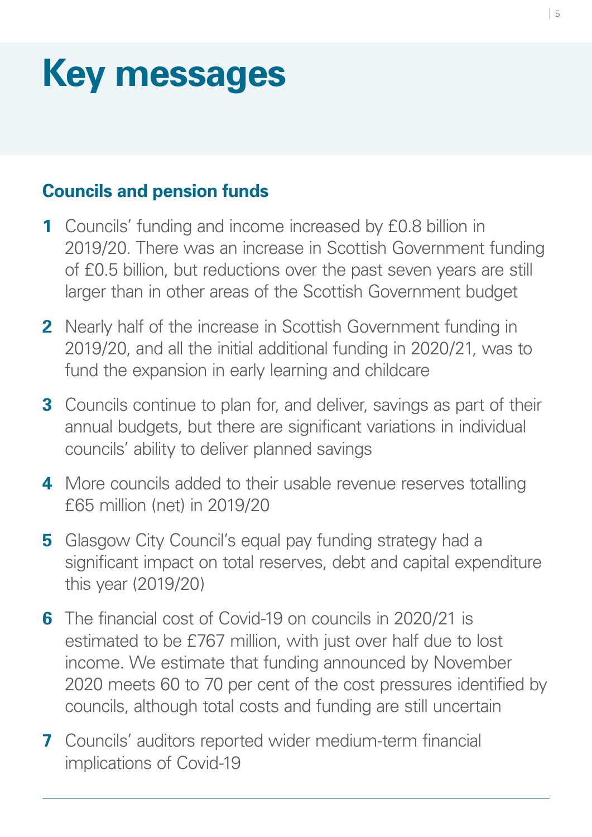# <span id="page-11-0"></span>**Key messages**

# **Councils and pension funds**

- **1** Councils' funding and income increased by £0.8 billion in 2019/20. There was an increase in Scottish Government funding of £0.5 billion, but reductions over the past seven years are still larger than in other areas of the Scottish Government budget
- **2** Nearly half of the increase in Scottish Government funding in 2019/20, and all the initial additional funding in 2020/21, was to fund the expansion in early learning and childcare
- **3** Councils continue to plan for, and deliver, savings as part of their annual budgets, but there are significant variations in individual councils' ability to deliver planned savings
- **4** More councils added to their usable revenue reserves totalling £65 million (net) in 2019/20
- **5** Glasgow City Council's equal pay funding strategy had a significant impact on total reserves, debt and capital expenditure this year (2019/20)
- **6** The financial cost of Covid-19 on councils in 2020/21 is estimated to be £767 million, with just over half due to lost income. We estimate that funding announced by November 2020 meets 60 to 70 per cent of the cost pressures identified by councils, although total costs and funding are still uncertain
- **7** Councils' auditors reported wider medium-term financial implications of Covid-19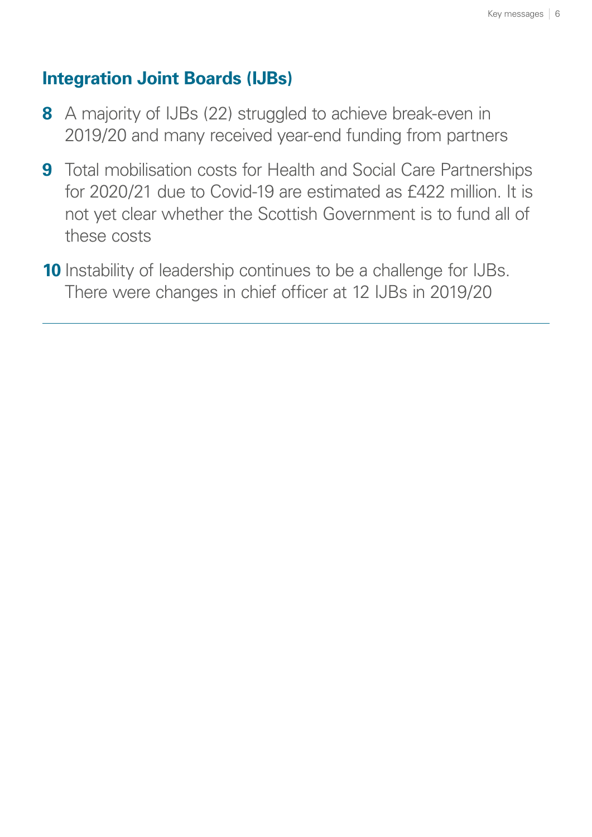# **Integration Joint Boards (IJBs)**

- **8** A majority of IJBs (22) struggled to achieve break-even in 2019/20 and many received year-end funding from partners
- **9** Total mobilisation costs for Health and Social Care Partnerships for 2020/21 due to Covid-19 are estimated as £422 million. It is not yet clear whether the Scottish Government is to fund all of these costs
- **10** Instability of leadership continues to be a challenge for IJBs. There were changes in chief officer at 12 IJBs in 2019/20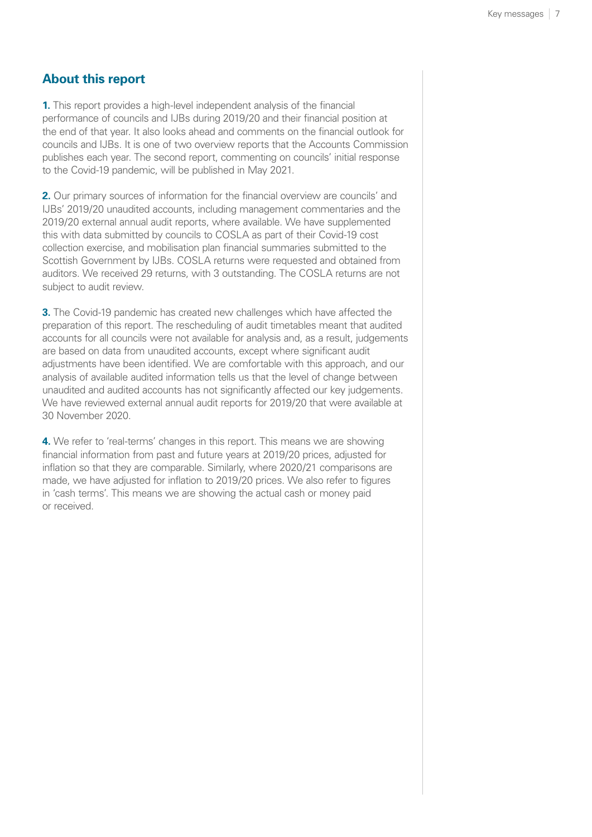#### **About this report**

**1.** This report provides a high-level independent analysis of the financial performance of councils and IJBs during 2019/20 and their financial position at the end of that year. It also looks ahead and comments on the financial outlook for councils and IJBs. It is one of two overview reports that the Accounts Commission publishes each year. The second report, commenting on councils' initial response to the Covid-19 pandemic, will be published in May 2021.

**2.** Our primary sources of information for the financial overview are councils' and IJBs' 2019/20 unaudited accounts, including management commentaries and the 2019/20 external annual audit reports, where available. We have supplemented this with data submitted by councils to COSLA as part of their Covid-19 cost collection exercise, and mobilisation plan financial summaries submitted to the Scottish Government by IJBs. COSLA returns were requested and obtained from auditors. We received 29 returns, with 3 outstanding. The COSLA returns are not subject to audit review.

**3.** The Covid-19 pandemic has created new challenges which have affected the preparation of this report. The rescheduling of audit timetables meant that audited accounts for all councils were not available for analysis and, as a result, judgements are based on data from unaudited accounts, except where significant audit adjustments have been identified. We are comfortable with this approach, and our analysis of available audited information tells us that the level of change between unaudited and audited accounts has not significantly affected our key judgements. We have reviewed external annual audit reports for 2019/20 that were available at 30 November 2020.

**4.** We refer to 'real-terms' changes in this report. This means we are showing financial information from past and future years at 2019/20 prices, adjusted for inflation so that they are comparable. Similarly, where 2020/21 comparisons are made, we have adjusted for inflation to 2019/20 prices. We also refer to figures in 'cash terms'. This means we are showing the actual cash or money paid or received.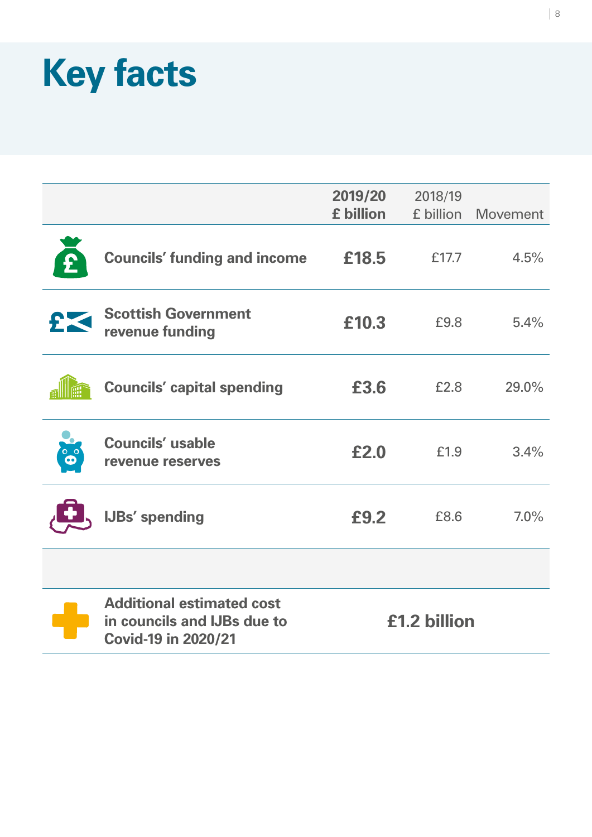# <span id="page-14-0"></span>**Key facts**

|                                                                                               | 2019/20<br>£ billion | 2018/19<br>£ billion | <b>Movement</b> |
|-----------------------------------------------------------------------------------------------|----------------------|----------------------|-----------------|
| <b>Councils' funding and income</b>                                                           | £18.5                | £17.7                | 4.5%            |
| <b>Scottish Government</b><br>revenue funding                                                 | £10.3                | £9.8                 | 5.4%            |
| <b>Councils' capital spending</b>                                                             | £3.6                 | £2.8                 | 29.0%           |
| <b>Councils' usable</b><br>revenue reserves                                                   | £2.0                 | £1.9                 | 3.4%            |
| <b>IJBs' spending</b>                                                                         | £9.2                 | £8.6                 | 7.0%            |
|                                                                                               |                      |                      |                 |
| <b>Additional estimated cost</b><br>in councils and IJBs due to<br><b>Covid-19 in 2020/21</b> | £1.2 billion         |                      |                 |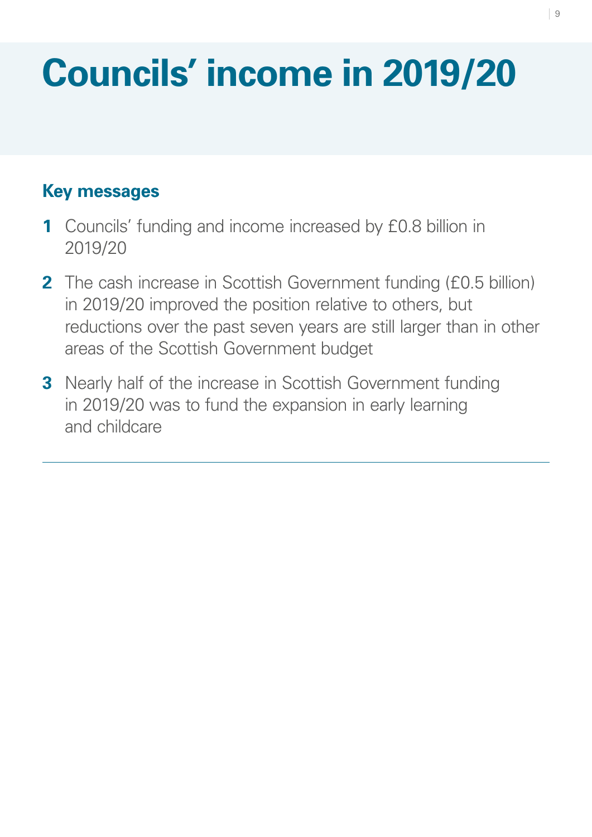# <span id="page-15-0"></span>**Councils' income in 2019/20**

# **Key messages**

- **1** Councils' funding and income increased by £0.8 billion in 2019/20
- **2** The cash increase in Scottish Government funding (£0.5 billion) in 2019/20 improved the position relative to others, but reductions over the past seven years are still larger than in other areas of the Scottish Government budget
- **3** Nearly half of the increase in Scottish Government funding in 2019/20 was to fund the expansion in early learning and childcare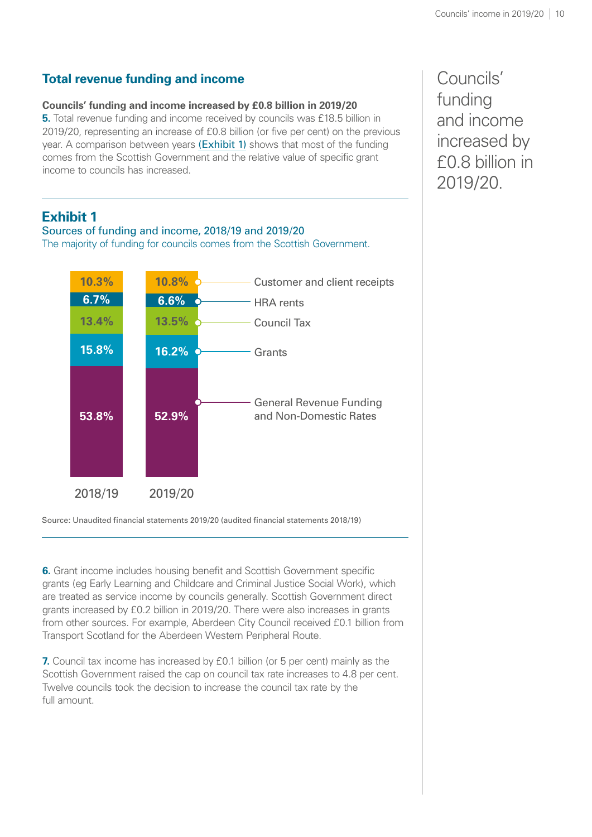# **Total revenue funding and income**

#### **Councils' funding and income increased by £0.8 billion in 2019/20**

**5.** Total revenue funding and income received by councils was £18.5 billion in 2019/20, representing an increase of £0.8 billion (or five per cent) on the previous year. A comparison between years [\(Exhibit 1\)](#page-16-0) shows that most of the funding comes from the Scottish Government and the relative value of specific grant income to councils has increased.

# <span id="page-16-0"></span>**Exhibit 1**

Sources of funding and income, 2018/19 and 2019/20 The majority of funding for councils comes from the Scottish Government.



Source: Unaudited financial statements 2019/20 (audited financial statements 2018/19)

**6.** Grant income includes housing benefit and Scottish Government specific grants (eg Early Learning and Childcare and Criminal Justice Social Work), which are treated as service income by councils generally. Scottish Government direct grants increased by £0.2 billion in 2019/20. There were also increases in grants from other sources. For example, Aberdeen City Council received £0.1 billion from Transport Scotland for the Aberdeen Western Peripheral Route.

**7.** Council tax income has increased by £0.1 billion (or 5 per cent) mainly as the Scottish Government raised the cap on council tax rate increases to 4.8 per cent. Twelve councils took the decision to increase the council tax rate by the full amount.

Councils' funding and income increased by £0.8 billion in 2019/20.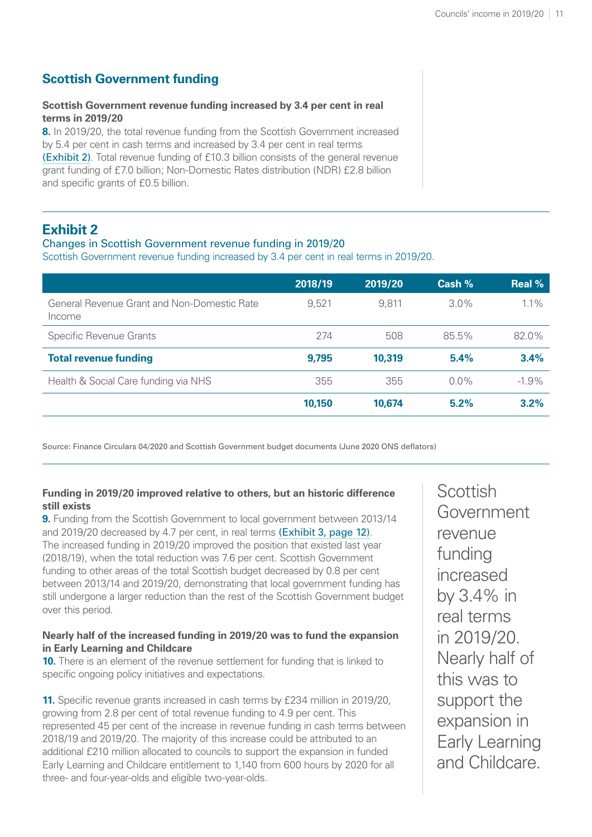# **Scottish Government funding**

#### **Scottish Government revenue funding increased by 3.4 per cent in real terms in 2019/20**

**8.** In 2019/20, the total revenue funding from the Scottish Government increased by 5.4 per cent in cash terms and increased by 3.4 per cent in real terms [\(Exhibit 2\)](#page-17-0). Total revenue funding of £10.3 billion consists of the general revenue grant funding of £7.0 billion; Non-Domestic Rates distribution (NDR) £2.8 billion and specific grants of £0.5 billion.

## <span id="page-17-0"></span>**Exhibit 2**

#### Changes in Scottish Government revenue funding in 2019/20

Scottish Government revenue funding increased by 3.4 per cent in real terms in 2019/20.

|                                                       | 2018/19 | 2019/20 | Cash %  | <b>Real %</b> |
|-------------------------------------------------------|---------|---------|---------|---------------|
| General Revenue Grant and Non-Domestic Rate<br>Income | 9,521   | 9,811   | $3.0\%$ | $1.1\%$       |
| <b>Specific Revenue Grants</b>                        | 274     | 508     | 85.5%   | 82.0%         |
| <b>Total revenue funding</b>                          | 9,795   | 10,319  | 5.4%    | 3.4%          |
| Health & Social Care funding via NHS                  | 355     | 355     | $0.0\%$ | $-1.9\%$      |
|                                                       | 10,150  | 10,674  | 5.2%    | 3.2%          |

Source: Finance Circulars 04/2020 and Scottish Government budget documents (June 2020 ONS deflators)

#### **Funding in 2019/20 improved relative to others, but an historic difference still exists**

**9.** Funding from the Scottish Government to local government between 2013/14 and 2019/20 decreased by 4.7 per cent, in real terms [\(Exhibit 3, page](#page-18-0) 12). The increased funding in 2019/20 improved the position that existed last year (2018/19), when the total reduction was 7.6 per cent. Scottish Government funding to other areas of the total Scottish budget decreased by 0.8 per cent between 2013/14 and 2019/20, demonstrating that local government funding has still undergone a larger reduction than the rest of the Scottish Government budget over this period.

#### **Nearly half of the increased funding in 2019/20 was to fund the expansion in Early Learning and Childcare**

**10.** There is an element of the revenue settlement for funding that is linked to specific ongoing policy initiatives and expectations.

**11.** Specific revenue grants increased in cash terms by £234 million in 2019/20, growing from 2.8 per cent of total revenue funding to 4.9 per cent. This represented 45 per cent of the increase in revenue funding in cash terms between 2018/19 and 2019/20. The majority of this increase could be attributed to an additional £210 million allocated to councils to support the expansion in funded Early Learning and Childcare entitlement to 1,140 from 600 hours by 2020 for all three- and four-year-olds and eligible two-year-olds.

**Scottish** Government revenue funding increased by 3.4% in real terms in 2019/20. Nearly half of this was to support the expansion in Early Learning and Childcare.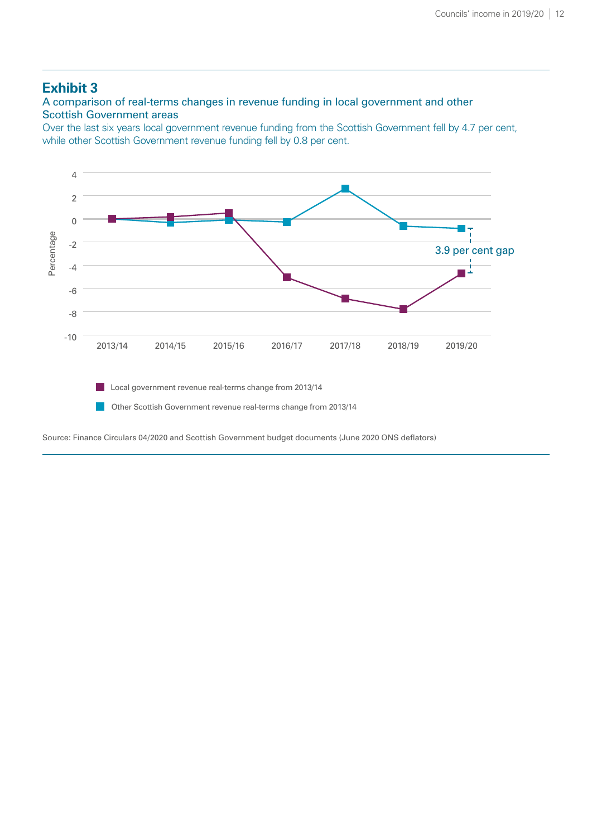### <span id="page-18-0"></span>**Exhibit 3**

A comparison of real-terms changes in revenue funding in local government and other Scottish Government areas

Over the last six years local government revenue funding from the Scottish Government fell by 4.7 per cent, while other Scottish Government revenue funding fell by 0.8 per cent.



Source: Finance Circulars 04/2020 and Scottish Government budget documents (June 2020 ONS deflators)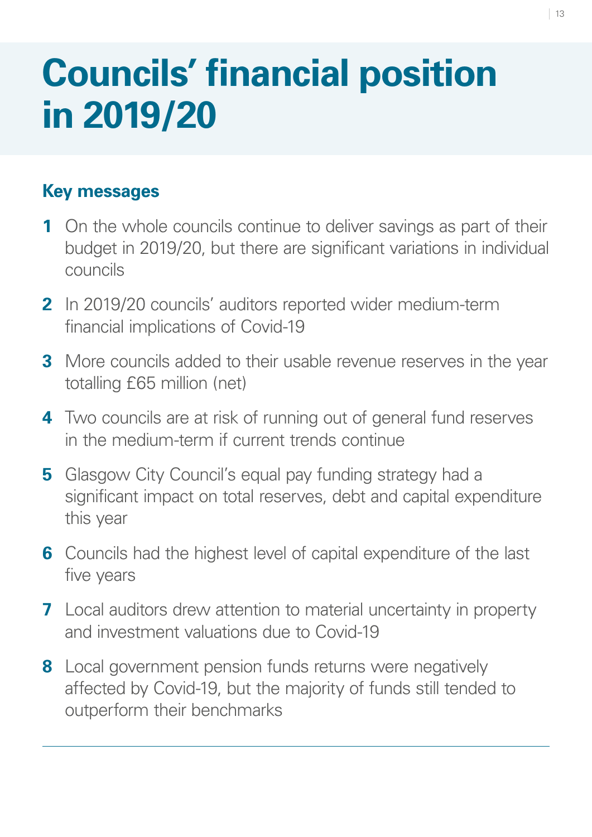# <span id="page-19-0"></span>**Councils' financial position in 2019/20**

# **Key messages**

- **1** On the whole councils continue to deliver savings as part of their budget in 2019/20, but there are significant variations in individual councils
- **2** In 2019/20 councils' auditors reported wider medium-term financial implications of Covid-19
- **3** More councils added to their usable revenue reserves in the year totalling £65 million (net)
- **4** Two councils are at risk of running out of general fund reserves in the medium-term if current trends continue
- **5** Glasgow City Council's equal pay funding strategy had a significant impact on total reserves, debt and capital expenditure this year
- **6** Councils had the highest level of capital expenditure of the last five years
- **7** Local auditors drew attention to material uncertainty in property and investment valuations due to Covid-19
- **8** Local government pension funds returns were negatively affected by Covid-19, but the majority of funds still tended to outperform their benchmarks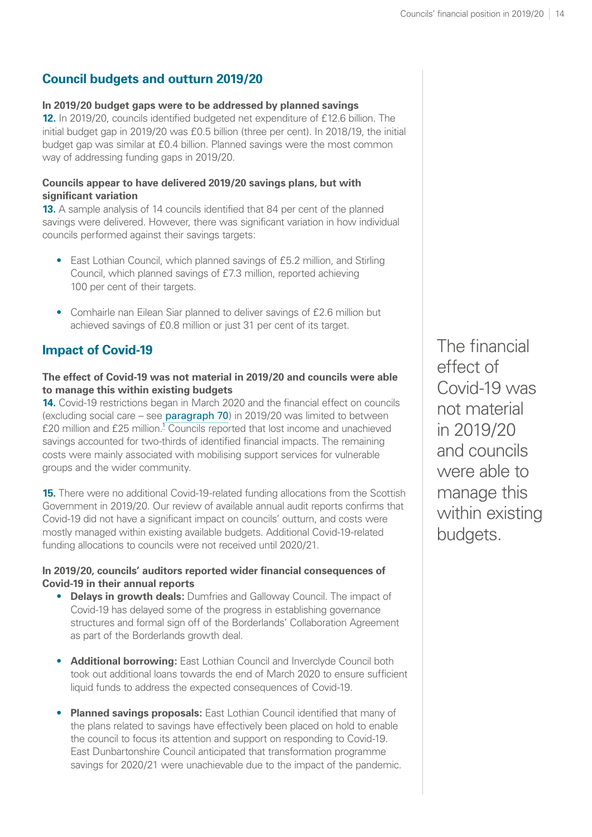# <span id="page-20-0"></span>**Council budgets and outturn 2019/20**

### **In 2019/20 budget gaps were to be addressed by planned savings**

**12.** In 2019/20, councils identified budgeted net expenditure of £12.6 billion. The initial budget gap in 2019/20 was £0.5 billion (three per cent). In 2018/19, the initial budget gap was similar at £0.4 billion. Planned savings were the most common way of addressing funding gaps in 2019/20.

#### **Councils appear to have delivered 2019/20 savings plans, but with significant variation**

**13.** A sample analysis of 14 councils identified that 84 per cent of the planned savings were delivered. However, there was significant variation in how individual councils performed against their savings targets:

- East Lothian Council, which planned savings of £5.2 million, and Stirling Council, which planned savings of £7.3 million, reported achieving 100 per cent of their targets.
- Comhairle nan Eilean Siar planned to deliver savings of £2.6 million but achieved savings of £0.8 million or just 31 per cent of its target.

# **Impact of Covid-19**

#### **The effect of Covid-19 was not material in 2019/20 and councils were able to manage this within existing budgets**

**14.** Covid-19 restrictions began in March 2020 and the financial effect on councils (excluding social care – see [paragraph 70](#page-39-0)) in 2019/20 was limited to between £20 million and £25 million.<sup>[1](#page-41-0)</sup> Councils reported that lost income and unachieved savings accounted for two-thirds of identified financial impacts. The remaining costs were mainly associated with mobilising support services for vulnerable groups and the wider community.

**15.** There were no additional Covid-19-related funding allocations from the Scottish Government in 2019/20. Our review of available annual audit reports confirms that Covid-19 did not have a significant impact on councils' outturn, and costs were mostly managed within existing available budgets. Additional Covid-19-related funding allocations to councils were not received until 2020/21.

#### **In 2019/20, councils' auditors reported wider financial consequences of Covid-19 in their annual reports**

- **Delays in growth deals:** Dumfries and Galloway Council. The impact of Covid-19 has delayed some of the progress in establishing governance structures and formal sign off of the Borderlands' Collaboration Agreement as part of the Borderlands growth deal.
- **Additional borrowing:** East Lothian Council and Inverclyde Council both took out additional loans towards the end of March 2020 to ensure sufficient liquid funds to address the expected consequences of Covid-19.
- **Planned savings proposals:** East Lothian Council identified that many of the plans related to savings have effectively been placed on hold to enable the council to focus its attention and support on responding to Covid-19. East Dunbartonshire Council anticipated that transformation programme savings for 2020/21 were unachievable due to the impact of the pandemic.

The financial effect of Covid-19 was not material in 2019/20 and councils were able to manage this within existing budgets.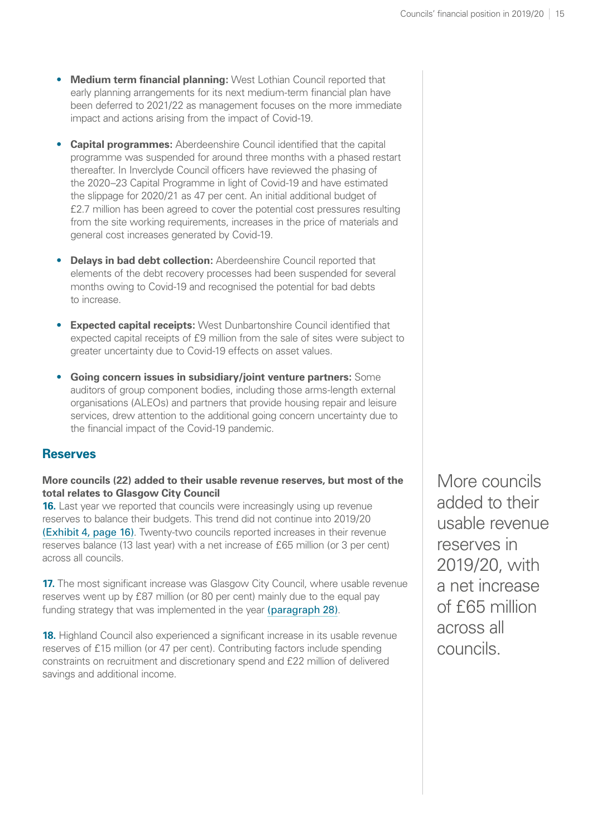- **Medium term financial planning:** West Lothian Council reported that early planning arrangements for its next medium-term financial plan have been deferred to 2021/22 as management focuses on the more immediate impact and actions arising from the impact of Covid-19.
- **Capital programmes:** Aberdeenshire Council identified that the capital programme was suspended for around three months with a phased restart thereafter. In Inverclyde Council officers have reviewed the phasing of the 2020–23 Capital Programme in light of Covid-19 and have estimated the slippage for 2020/21 as 47 per cent. An initial additional budget of £2.7 million has been agreed to cover the potential cost pressures resulting from the site working requirements, increases in the price of materials and general cost increases generated by Covid-19.
- **Delays in bad debt collection:** Aberdeenshire Council reported that elements of the debt recovery processes had been suspended for several months owing to Covid-19 and recognised the potential for bad debts to increase.
- **Expected capital receipts:** West Dunbartonshire Council identified that expected capital receipts of £9 million from the sale of sites were subject to greater uncertainty due to Covid-19 effects on asset values.
- **Going concern issues in subsidiary/joint venture partners:** Some auditors of group component bodies, including those arms-length external organisations (ALEOs) and partners that provide housing repair and leisure services, drew attention to the additional going concern uncertainty due to the financial impact of the Covid-19 pandemic.

#### **Reserves**

#### **More councils (22) added to their usable revenue reserves, but most of the total relates to Glasgow City Council**

**16.** Last year we reported that councils were increasingly using up revenue reserves to balance their budgets. This trend did not continue into 2019/20 [\(Exhibit 4, page](#page-22-0) 16). Twenty-two councils reported increases in their revenue reserves balance (13 last year) with a net increase of £65 million (or 3 per cent) across all councils.

<span id="page-21-0"></span>**17.** The most significant increase was Glasgow City Council, where usable revenue reserves went up by £87 million (or 80 per cent) mainly due to the equal pay funding strategy that was implemented in the year [\(paragraph 28\)](#page-25-0).

**18.** Highland Council also experienced a significant increase in its usable revenue reserves of £15 million (or 47 per cent). Contributing factors include spending constraints on recruitment and discretionary spend and £22 million of delivered savings and additional income.

More councils added to their usable revenue reserves in 2019/20, with a net increase of £65 million across all councils.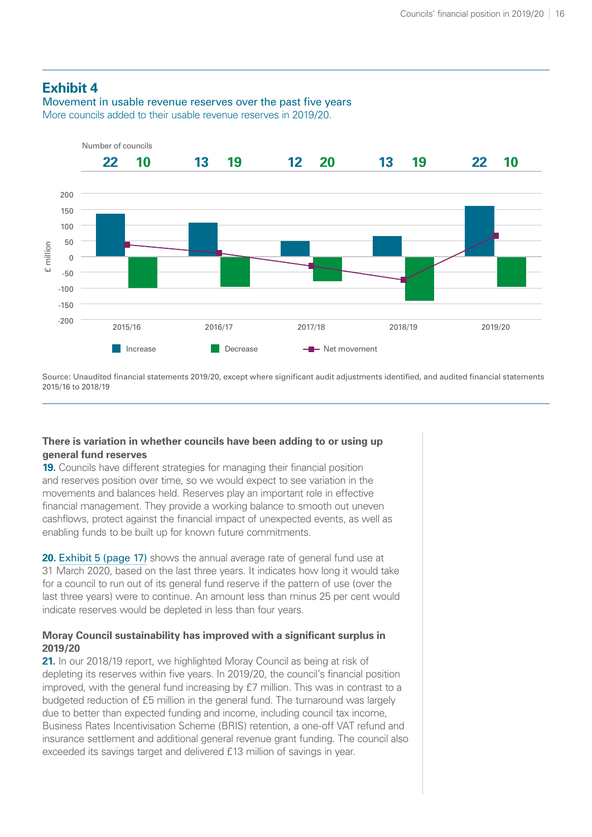### <span id="page-22-0"></span>**Exhibit 4**

Movement in usable revenue reserves over the past five years More councils added to their usable revenue reserves in 2019/20.



Source: Unaudited financial statements 2019/20, except where significant audit adjustments identified, and audited financial statements 2015/16 to 2018/19

#### **There is variation in whether councils have been adding to or using up general fund reserves**

**19.** Councils have different strategies for managing their financial position and reserves position over time, so we would expect to see variation in the movements and balances held. Reserves play an important role in effective financial management. They provide a working balance to smooth out uneven cashflows, protect against the financial impact of unexpected events, as well as enabling funds to be built up for known future commitments.

**20. [Exhibit 5 \(page](#page-23-0) 17)** shows the annual average rate of general fund use at 31 March 2020, based on the last three years. It indicates how long it would take for a council to run out of its general fund reserve if the pattern of use (over the last three years) were to continue. An amount less than minus 25 per cent would indicate reserves would be depleted in less than four years.

#### **Moray Council sustainability has improved with a significant surplus in 2019/20**

**21.** In our 2018/19 report, we highlighted Moray Council as being at risk of depleting its reserves within five years. In 2019/20, the council's financial position improved, with the general fund increasing by £7 million. This was in contrast to a budgeted reduction of £5 million in the general fund. The turnaround was largely due to better than expected funding and income, including council tax income, Business Rates Incentivisation Scheme (BRIS) retention, a one-off VAT refund and insurance settlement and additional general revenue grant funding. The council also exceeded its savings target and delivered £13 million of savings in year.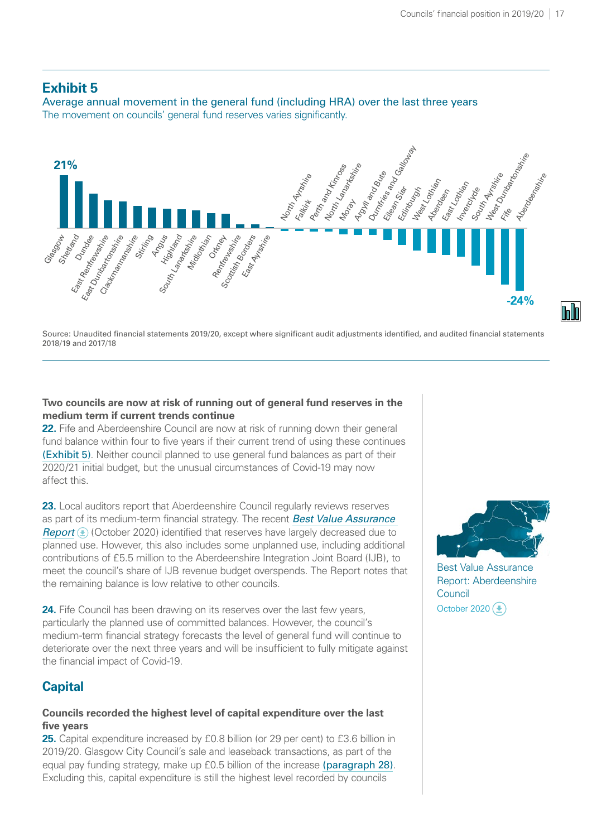#### <span id="page-23-0"></span>**Exhibit 5**

Average annual movement in the general fund (including HRA) over the last three years The movement on councils' general fund reserves varies significantly.



Source: Unaudited financial statements 2019/20, except where significant audit adjustments identified, and audited financial statements 2018/19 and 2017/18

#### **Two councils are now at risk of running out of general fund reserves in the medium term if current trends continue**

**22.** Fife and Aberdeenshire Council are now at risk of running down their general fund balance within four to five years if their current trend of using these continues [\(Exhibit 5\)](#page-23-0). Neither council planned to use general fund balances as part of their 2020/21 initial budget, but the unusual circumstances of Covid-19 may now affect this.

23. Local auditors report that Aberdeenshire Council regularly reviews reserves as part of its medium-term financial strategy. The recent *[Best Value Assurance](https://www.audit-scotland.gov.uk/uploads/docs/report/2020/bv_201022_aberdeenshire.pdf)  [Report](https://www.audit-scotland.gov.uk/uploads/docs/report/2020/bv_201022_aberdeenshire.pdf)*  $\circled{E}$  (October 2020) identified that reserves have largely decreased due to planned use. However, this also includes some unplanned use, including additional contributions of £5.5 million to the Aberdeenshire Integration Joint Board (IJB), to meet the council's share of IJB revenue budget overspends. The Report notes that the remaining balance is low relative to other councils.

24. Fife Council has been drawing on its reserves over the last few years, particularly the planned use of committed balances. However, the council's medium-term financial strategy forecasts the level of general fund will continue to deteriorate over the next three years and will be insufficient to fully mitigate against the financial impact of Covid-19.

### **Capital**

#### **Councils recorded the highest level of capital expenditure over the last five years**

25. Capital expenditure increased by £0.8 billion (or 29 per cent) to £3.6 billion in 2019/20. Glasgow City Council's sale and leaseback transactions, as part of the equal pay funding strategy, make up £0.5 billion of the increase [\(paragraph 28\)](#page-25-0). Excluding this, capital expenditure is still the highest level recorded by councils



Best Value Assurance [Report: Aberdeenshire](https://www.audit-scotland.gov.uk/uploads/docs/report/2020/bv_201022_aberdeenshire.pdf)  **Council** October 2020 $(\triangle)$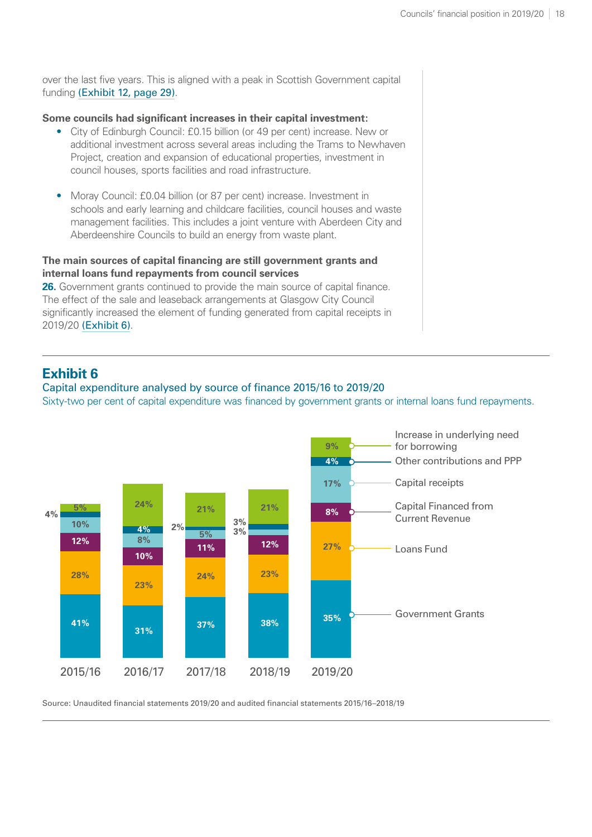over the last five years. This is aligned with a peak in Scottish Government capital funding [\(Exhibit 12, page](#page-35-0) 29).

#### **Some councils had significant increases in their capital investment:**

- City of Edinburgh Council: £0.15 billion (or 49 per cent) increase. New or additional investment across several areas including the Trams to Newhaven Project, creation and expansion of educational properties, investment in council houses, sports facilities and road infrastructure.
- Moray Council: £0.04 billion (or 87 per cent) increase. Investment in schools and early learning and childcare facilities, council houses and waste management facilities. This includes a joint venture with Aberdeen City and Aberdeenshire Councils to build an energy from waste plant.

#### **The main sources of capital financing are still government grants and internal loans fund repayments from council services**

**26.** Government grants continued to provide the main source of capital finance. The effect of the sale and leaseback arrangements at Glasgow City Council significantly increased the element of funding generated from capital receipts in 2019/20 [\(Exhibit 6\)](#page-24-0).

## <span id="page-24-0"></span>**Exhibit 6**

#### Capital expenditure analysed by source of finance 2015/16 to 2019/20

Sixty-two per cent of capital expenditure was financed by government grants or internal loans fund repayments.



Source: Unaudited financial statements 2019/20 and audited financial statements 2015/16–2018/19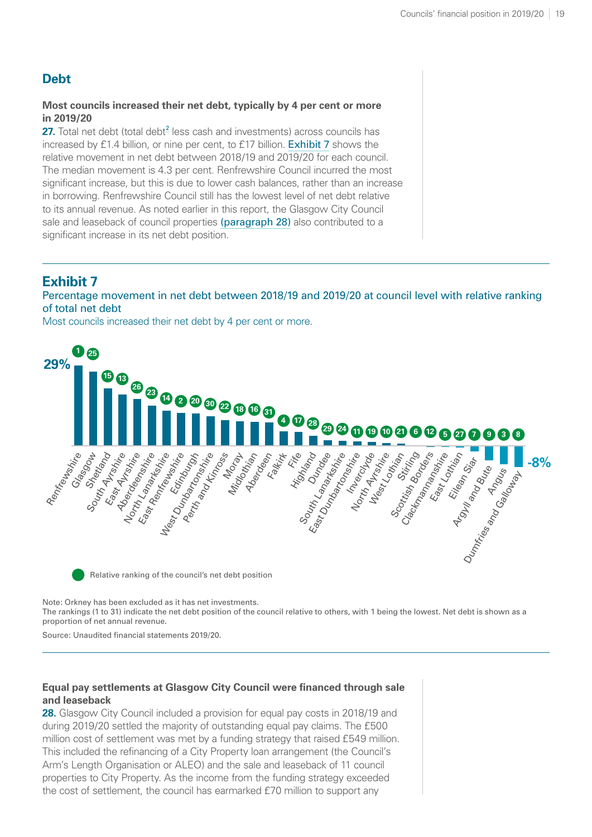# <span id="page-25-2"></span>**Debt**

#### **Most councils increased their net debt, typically by 4 per cent or more in 2019/20**

**[2](#page-41-0)7.** Total net debt (total debt<sup>2</sup> less cash and investments) across councils has increased by £1.4 billion, or nine per cent, to £17 billion. [Exhibit 7](#page-25-1) shows the relative movement in net debt between 2018/19 and 2019/20 for each council. The median movement is 4.3 per cent. Renfrewshire Council incurred the most significant increase, but this is due to lower cash balances, rather than an increase in borrowing. Renfrewshire Council still has the lowest level of net debt relative to its annual revenue. As noted earlier in this report, the Glasgow City Council sale and leaseback of council properties [\(paragraph 28\)](#page-25-0) also contributed to a significant increase in its net debt position.

# <span id="page-25-1"></span>**Exhibit 7**

#### Percentage movement in net debt between 2018/19 and 2019/20 at council level with relative ranking of total net debt

Most councils increased their net debt by 4 per cent or more.



Note: Orkney has been excluded as it has net investments.

The rankings (1 to 31) indicate the net debt position of the council relative to others, with 1 being the lowest. Net debt is shown as a proportion of net annual revenue.

Source: Unaudited financial statements 2019/20.

#### **Equal pay settlements at Glasgow City Council were financed through sale and leaseback**

<span id="page-25-0"></span>**28.** Glasgow City Council included a provision for equal pay costs in 2018/19 and during 2019/20 settled the majority of outstanding equal pay claims. The £500 million cost of settlement was met by a funding strategy that raised £549 million. This included the refinancing of a City Property loan arrangement (the Council's Arm's Length Organisation or ALEO) and the sale and leaseback of 11 council properties to City Property. As the income from the funding strategy exceeded the cost of settlement, the council has earmarked £70 million to support any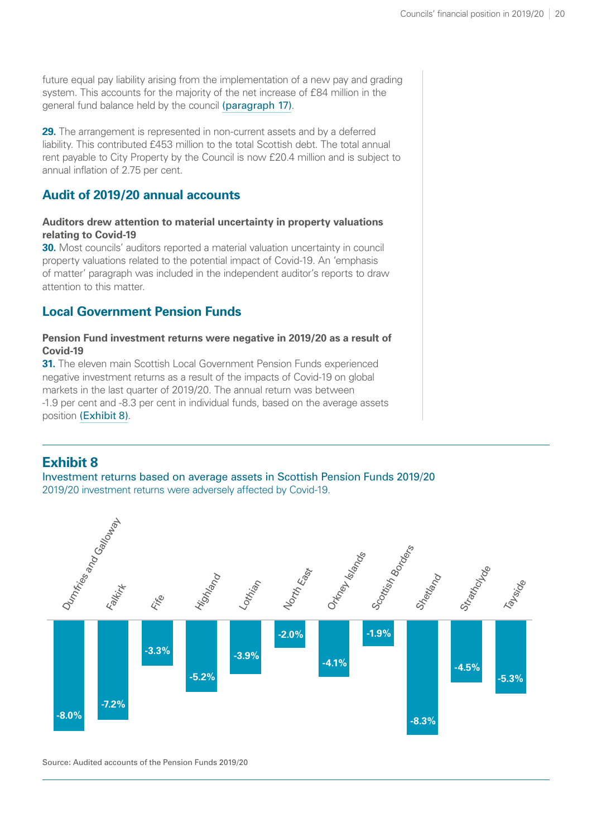future equal pay liability arising from the implementation of a new pay and grading system. This accounts for the majority of the net increase of £84 million in the general fund balance held by the council [\(paragraph 17\)](#page-21-0).

**29.** The arrangement is represented in non-current assets and by a deferred liability. This contributed £453 million to the total Scottish debt. The total annual rent payable to City Property by the Council is now £20.4 million and is subject to annual inflation of 2.75 per cent.

### **Audit of 2019/20 annual accounts**

#### **Auditors drew attention to material uncertainty in property valuations relating to Covid-19**

**30.** Most councils' auditors reported a material valuation uncertainty in council property valuations related to the potential impact of Covid-19. An 'emphasis of matter' paragraph was included in the independent auditor's reports to draw attention to this matter.

### **Local Government Pension Funds**

#### **Pension Fund investment returns were negative in 2019/20 as a result of Covid-19**

**31.** The eleven main Scottish Local Government Pension Funds experienced negative investment returns as a result of the impacts of Covid-19 on global markets in the last quarter of 2019/20. The annual return was between -1.9 per cent and -8.3 per cent in individual funds, based on the average assets position [\(Exhibit 8\)](#page-26-0).

# <span id="page-26-0"></span>**Exhibit 8**

Investment returns based on average assets in Scottish Pension Funds 2019/20 2019/20 investment returns were adversely affected by Covid-19.



Source: Audited accounts of the Pension Funds 2019/20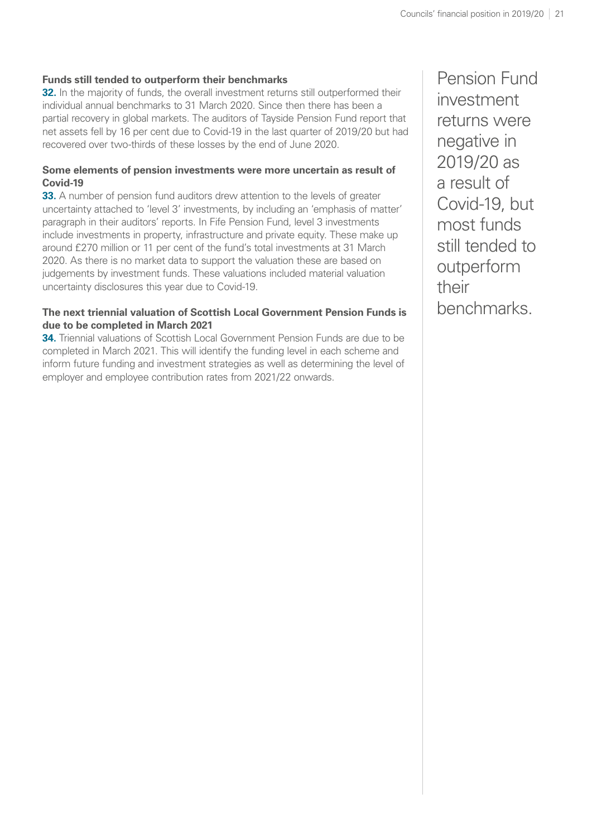#### **Funds still tended to outperform their benchmarks**

**32.** In the majority of funds, the overall investment returns still outperformed their individual annual benchmarks to 31 March 2020. Since then there has been a partial recovery in global markets. The auditors of Tayside Pension Fund report that net assets fell by 16 per cent due to Covid-19 in the last quarter of 2019/20 but had recovered over two-thirds of these losses by the end of June 2020.

#### **Some elements of pension investments were more uncertain as result of Covid-19**

**33.** A number of pension fund auditors drew attention to the levels of greater uncertainty attached to 'level 3' investments, by including an 'emphasis of matter' paragraph in their auditors' reports. In Fife Pension Fund, level 3 investments include investments in property, infrastructure and private equity. These make up around £270 million or 11 per cent of the fund's total investments at 31 March 2020. As there is no market data to support the valuation these are based on judgements by investment funds. These valuations included material valuation uncertainty disclosures this year due to Covid-19.

#### **The next triennial valuation of Scottish Local Government Pension Funds is due to be completed in March 2021**

**34.** Triennial valuations of Scottish Local Government Pension Funds are due to be completed in March 2021. This will identify the funding level in each scheme and inform future funding and investment strategies as well as determining the level of employer and employee contribution rates from 2021/22 onwards.

Pension Fund investment returns were negative in 2019/20 as a result of Covid-19, but most funds still tended to outperform their benchmarks.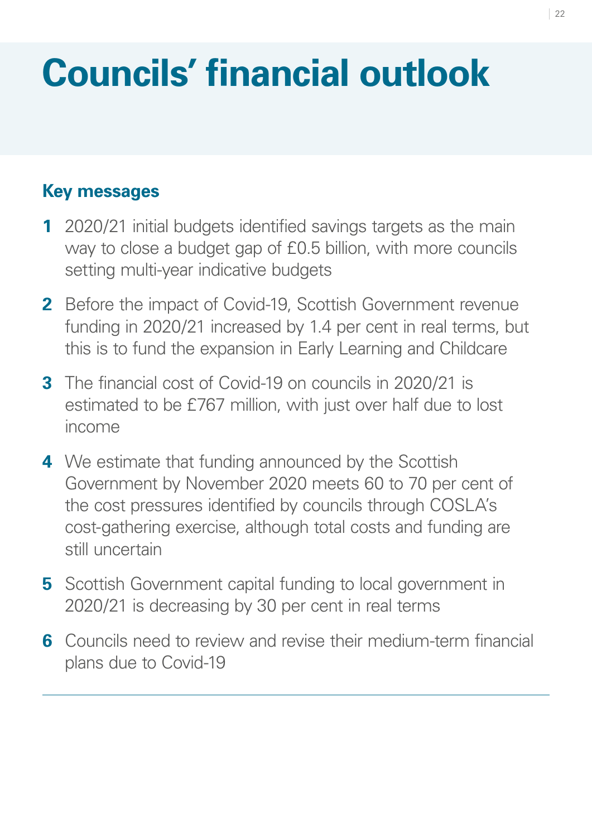# <span id="page-28-0"></span>**Councils' financial outlook**

# **Key messages**

- **1** 2020/21 initial budgets identified savings targets as the main way to close a budget gap of £0.5 billion, with more councils setting multi-year indicative budgets
- **2** Before the impact of Covid-19, Scottish Government revenue funding in 2020/21 increased by 1.4 per cent in real terms, but this is to fund the expansion in Early Learning and Childcare
- **3** The financial cost of Covid-19 on councils in 2020/21 is estimated to be £767 million, with just over half due to lost income
- **4** We estimate that funding announced by the Scottish Government by November 2020 meets 60 to 70 per cent of the cost pressures identified by councils through COSLA's cost-gathering exercise, although total costs and funding are still uncertain
- **5** Scottish Government capital funding to local government in 2020/21 is decreasing by 30 per cent in real terms
- **6** Councils need to review and revise their medium-term financial plans due to Covid-19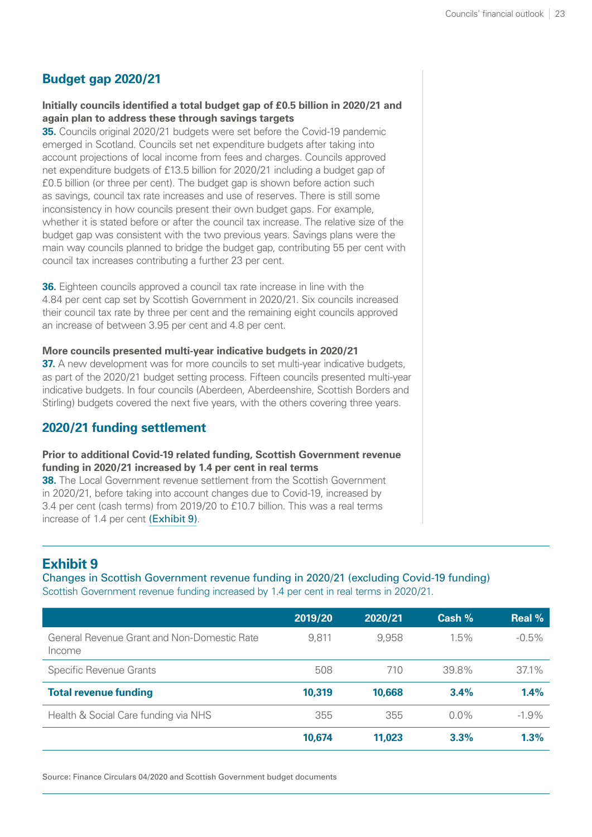# **Budget gap 2020/21**

#### **Initially councils identified a total budget gap of £0.5 billion in 2020/21 and again plan to address these through savings targets**

**35.** Councils original 2020/21 budgets were set before the Covid-19 pandemic emerged in Scotland. Councils set net expenditure budgets after taking into account projections of local income from fees and charges. Councils approved net expenditure budgets of £13.5 billion for 2020/21 including a budget gap of £0.5 billion (or three per cent). The budget gap is shown before action such as savings, council tax rate increases and use of reserves. There is still some inconsistency in how councils present their own budget gaps. For example, whether it is stated before or after the council tax increase. The relative size of the budget gap was consistent with the two previous years. Savings plans were the main way councils planned to bridge the budget gap, contributing 55 per cent with council tax increases contributing a further 23 per cent.

**36.** Eighteen councils approved a council tax rate increase in line with the 4.84 per cent cap set by Scottish Government in 2020/21. Six councils increased their council tax rate by three per cent and the remaining eight councils approved an increase of between 3.95 per cent and 4.8 per cent.

#### **More councils presented multi-year indicative budgets in 2020/21**

**37.** A new development was for more councils to set multi-year indicative budgets, as part of the 2020/21 budget setting process. Fifteen councils presented multi-year indicative budgets. In four councils (Aberdeen, Aberdeenshire, Scottish Borders and Stirling) budgets covered the next five years, with the others covering three years.

### **2020/21 funding settlement**

#### **Prior to additional Covid-19 related funding, Scottish Government revenue funding in 2020/21 increased by 1.4 per cent in real terms**

**38.** The Local Government revenue settlement from the Scottish Government in 2020/21, before taking into account changes due to Covid-19, increased by 3.4 per cent (cash terms) from 2019/20 to £10.7 billion. This was a real terms increase of 1.4 per cent [\(Exhibit 9\)](#page-29-0).

# <span id="page-29-0"></span>**Exhibit 9**

Changes in Scottish Government revenue funding in 2020/21 (excluding Covid-19 funding) Scottish Government revenue funding increased by 1.4 per cent in real terms in 2020/21.

|                                                       | 2019/20 | 2020/21 | Cash %  | <b>Real %</b> |
|-------------------------------------------------------|---------|---------|---------|---------------|
| General Revenue Grant and Non-Domestic Rate<br>Income | 9.811   | 9,958   | $1.5\%$ | $-0.5\%$      |
| <b>Specific Revenue Grants</b>                        | 508     | 710     | 39.8%   | $37.1\%$      |
| <b>Total revenue funding</b>                          | 10,319  | 10,668  | 3.4%    | 1.4%          |
| Health & Social Care funding via NHS                  | 355     | 355     | $0.0\%$ | $-1.9\%$      |
|                                                       | 10,674  | 11,023  | 3.3%    | 1.3%          |

Source: Finance Circulars 04/2020 and Scottish Government budget documents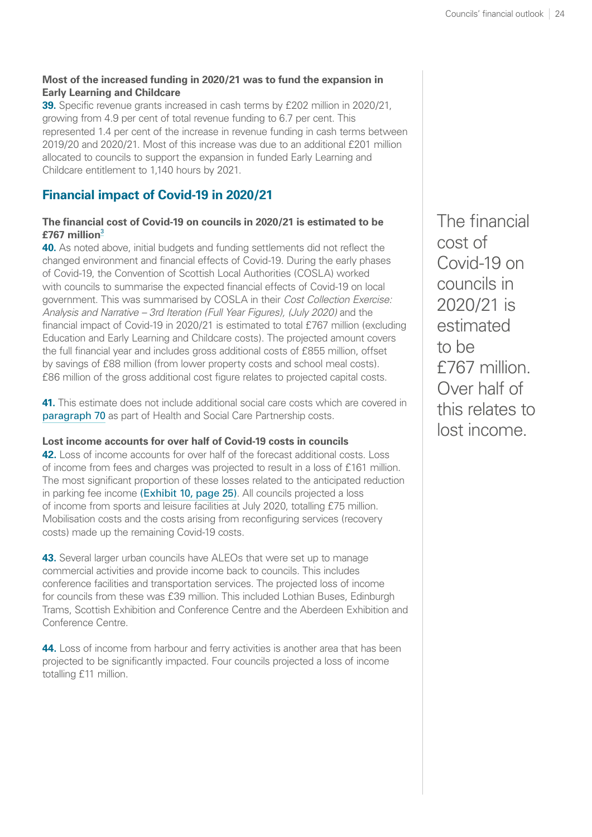#### <span id="page-30-1"></span>**Most of the increased funding in 2020/21 was to fund the expansion in Early Learning and Childcare**

**39.** Specific revenue grants increased in cash terms by £202 million in 2020/21, growing from 4.9 per cent of total revenue funding to 6.7 per cent. This represented 1.4 per cent of the increase in revenue funding in cash terms between 2019/20 and 2020/21. Most of this increase was due to an additional £201 million allocated to councils to support the expansion in funded Early Learning and Childcare entitlement to 1,140 hours by 2021.

# **Financial impact of Covid-19 in 2020/21**

#### **The financial cost of Covid-19 on councils in 2020/21 is estimated to be £767 million**[3](#page-41-0)

<span id="page-30-0"></span>**40.** As noted above, initial budgets and funding settlements did not reflect the changed environment and financial effects of Covid-19. During the early phases of Covid-19, the Convention of Scottish Local Authorities (COSLA) worked with councils to summarise the expected financial effects of Covid-19 on local government. This was summarised by COSLA in their *Cost Collection Exercise: Analysis and Narrative – 3rd Iteration (Full Year Figures), (July 2020)* and the financial impact of Covid-19 in 2020/21 is estimated to total £767 million (excluding Education and Early Learning and Childcare costs). The projected amount covers the full financial year and includes gross additional costs of £855 million, offset by savings of £88 million (from lower property costs and school meal costs). £86 million of the gross additional cost figure relates to projected capital costs.

**41.** This estimate does not include additional social care costs which are covered in [paragraph 70](#page-39-0) as part of Health and Social Care Partnership costs.

#### **Lost income accounts for over half of Covid-19 costs in councils**

**42.** Loss of income accounts for over half of the forecast additional costs. Loss of income from fees and charges was projected to result in a loss of £161 million. The most significant proportion of these losses related to the anticipated reduction in parking fee income [\(Exhibit 10, page](#page-31-0) 25). All councils projected a loss of income from sports and leisure facilities at July 2020, totalling £75 million. Mobilisation costs and the costs arising from reconfiguring services (recovery costs) made up the remaining Covid-19 costs.

**43.** Several larger urban councils have ALEOs that were set up to manage commercial activities and provide income back to councils. This includes conference facilities and transportation services. The projected loss of income for councils from these was £39 million. This included Lothian Buses, Edinburgh Trams, Scottish Exhibition and Conference Centre and the Aberdeen Exhibition and Conference Centre.

**44.** Loss of income from harbour and ferry activities is another area that has been projected to be significantly impacted. Four councils projected a loss of income totalling £11 million.

The financial cost of Covid-19 on councils in 2020/21 is estimated to be £767 million. Over half of this relates to lost income.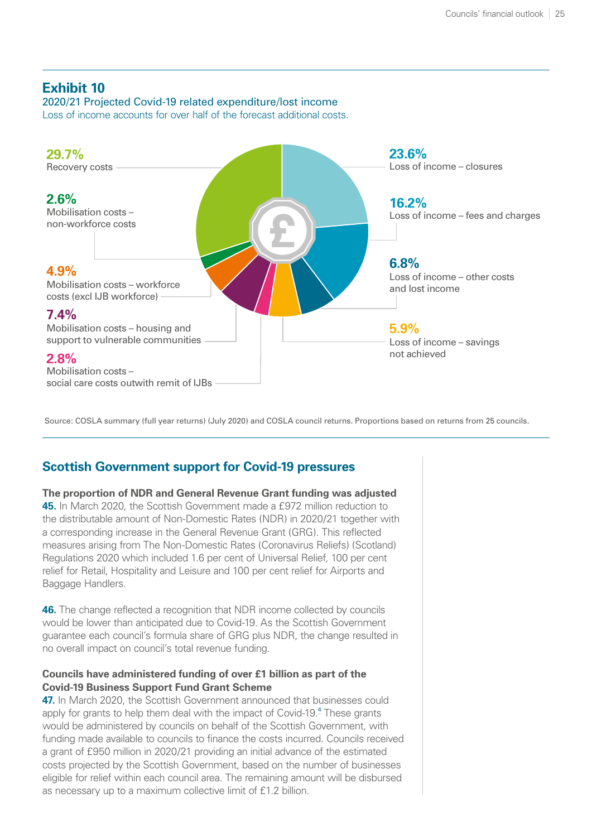# <span id="page-31-1"></span><span id="page-31-0"></span>**Exhibit 10**

2020/21 Projected Covid-19 related expenditure/lost income Loss of income accounts for over half of the forecast additional costs.



Source: COSLA summary (full year returns) (July 2020) and COSLA council returns. Proportions based on returns from 25 councils.

# **Scottish Government support for Covid-19 pressures**

**The proportion of NDR and General Revenue Grant funding was adjusted 45.** In March 2020, the Scottish Government made a £972 million reduction to the distributable amount of Non-Domestic Rates (NDR) in 2020/21 together with a corresponding increase in the General Revenue Grant (GRG). This reflected measures arising from The Non-Domestic Rates (Coronavirus Reliefs) (Scotland) Regulations 2020 which included 1.6 per cent of Universal Relief, 100 per cent relief for Retail, Hospitality and Leisure and 100 per cent relief for Airports and Baggage Handlers.

**46.** The change reflected a recognition that NDR income collected by councils would be lower than anticipated due to Covid-19. As the Scottish Government guarantee each council's formula share of GRG plus NDR, the change resulted in no overall impact on council's total revenue funding.

#### **Councils have administered funding of over £1 billion as part of the Covid-19 Business Support Fund Grant Scheme**

**47.** In March 2020, the Scottish Government announced that businesses could apply for grants to help them deal with the impact of Covid-19.<sup>[4](#page-41-0)</sup> These grants would be administered by councils on behalf of the Scottish Government, with funding made available to councils to finance the costs incurred. Councils received a grant of £950 million in 2020/21 providing an initial advance of the estimated costs projected by the Scottish Government, based on the number of businesses eligible for relief within each council area. The remaining amount will be disbursed as necessary up to a maximum collective limit of £1.2 billion.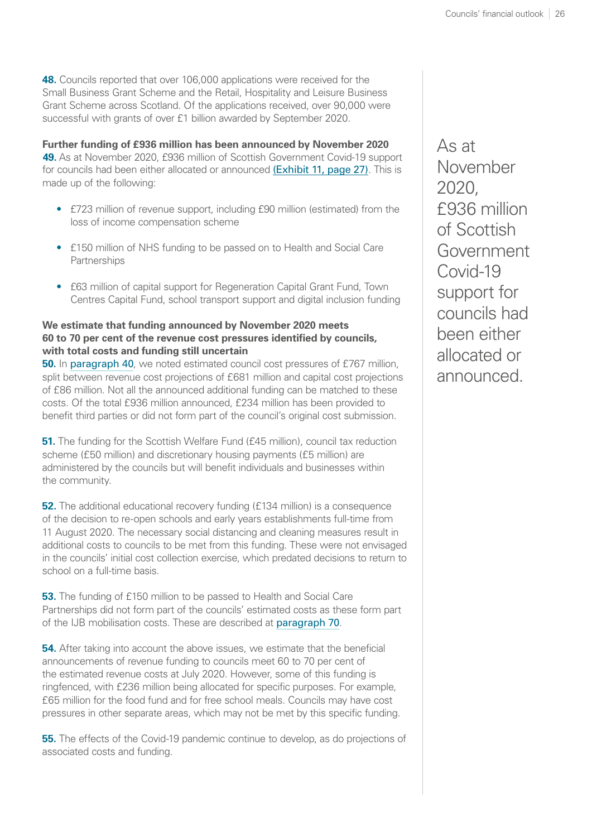**48.** Councils reported that over 106,000 applications were received for the Small Business Grant Scheme and the Retail, Hospitality and Leisure Business Grant Scheme across Scotland. Of the applications received, over 90,000 were successful with grants of over £1 billion awarded by September 2020.

**Further funding of £936 million has been announced by November 2020 49.** As at November 2020, £936 million of Scottish Government Covid-19 support for councils had been either allocated or announced [\(Exhibit 11, page](#page-33-0) 27). This is made up of the following:

- £723 million of revenue support, including £90 million (estimated) from the loss of income compensation scheme
- £150 million of NHS funding to be passed on to Health and Social Care **Partnerships**
- £63 million of capital support for Regeneration Capital Grant Fund, Town Centres Capital Fund, school transport support and digital inclusion funding

#### **We estimate that funding announced by November 2020 meets 60 to 70 per cent of the revenue cost pressures identified by councils, with total costs and funding still uncertain**

**50.** In [paragraph 40](#page-30-0), we noted estimated council cost pressures of £767 million, split between revenue cost projections of £681 million and capital cost projections of £86 million. Not all the announced additional funding can be matched to these costs. Of the total £936 million announced, £234 million has been provided to benefit third parties or did not form part of the council's original cost submission.

**51.** The funding for the Scottish Welfare Fund (£45 million), council tax reduction scheme (£50 million) and discretionary housing payments (£5 million) are administered by the councils but will benefit individuals and businesses within the community.

**52.** The additional educational recovery funding (£134 million) is a consequence of the decision to re-open schools and early years establishments full-time from 11 August 2020. The necessary social distancing and cleaning measures result in additional costs to councils to be met from this funding. These were not envisaged in the councils' initial cost collection exercise, which predated decisions to return to school on a full-time basis.

**53.** The funding of £150 million to be passed to Health and Social Care Partnerships did not form part of the councils' estimated costs as these form part of the IJB mobilisation costs. These are described at [paragraph 70](#page-39-0).

**54.** After taking into account the above issues, we estimate that the beneficial announcements of revenue funding to councils meet 60 to 70 per cent of the estimated revenue costs at July 2020. However, some of this funding is ringfenced, with £236 million being allocated for specific purposes. For example, £65 million for the food fund and for free school meals. Councils may have cost pressures in other separate areas, which may not be met by this specific funding.

**55.** The effects of the Covid-19 pandemic continue to develop, as do projections of associated costs and funding.

As at November 2020, £936 million of Scottish Government Covid-19 support for councils had been either allocated or announced.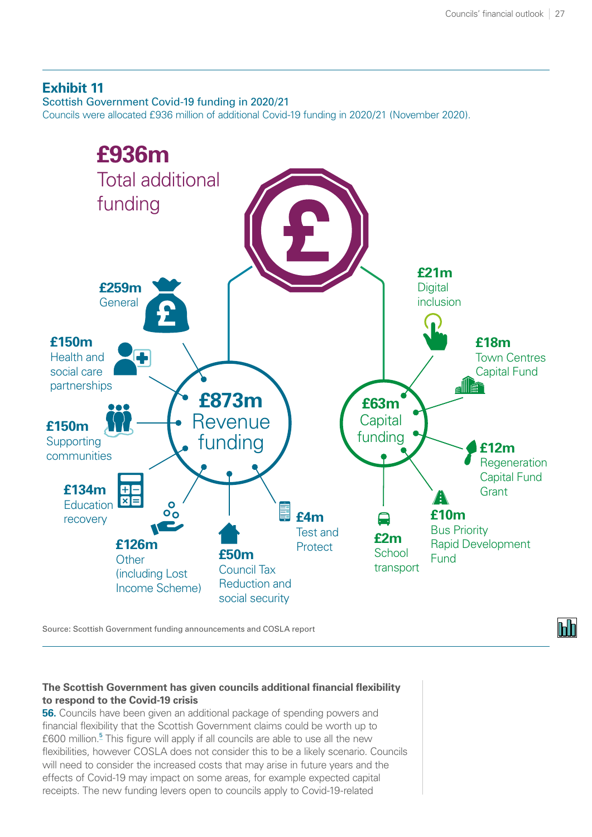### <span id="page-33-1"></span><span id="page-33-0"></span>**Exhibit 11**

Scottish Government Covid-19 funding in 2020/21

Councils were allocated £936 million of additional Covid-19 funding in 2020/21 (November 2020).



Source: Scottish Government funding announcements and COSLA report

#### **The Scottish Government has given councils additional financial flexibility to respond to the Covid-19 crisis**

**56.** Councils have been given an additional package of spending powers and financial flexibility that the Scottish Government claims could be worth up to £600 million.<sup>[5](#page-41-0)</sup> This figure will apply if all councils are able to use all the new flexibilities, however COSLA does not consider this to be a likely scenario. Councils will need to consider the increased costs that may arise in future years and the effects of Covid-19 may impact on some areas, for example expected capital receipts. The new funding levers open to councils apply to Covid-19-related

**Inde**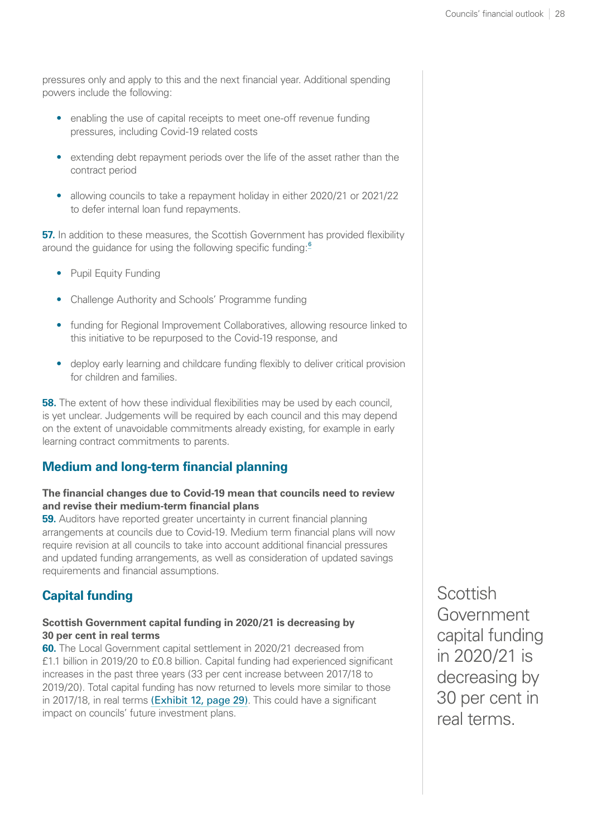<span id="page-34-0"></span>pressures only and apply to this and the next financial year. Additional spending powers include the following:

- enabling the use of capital receipts to meet one-off revenue funding pressures, including Covid-19 related costs
- extending debt repayment periods over the life of the asset rather than the contract period
- allowing councils to take a repayment holiday in either 2020/21 or 2021/22 to defer internal loan fund repayments.

**57.** In addition to these measures, the Scottish Government has provided flexibility around the quidance for using the following specific funding:<sup>[6](#page-41-0)</sup>

- Pupil Equity Funding
- Challenge Authority and Schools' Programme funding
- funding for Regional Improvement Collaboratives, allowing resource linked to this initiative to be repurposed to the Covid-19 response, and
- deploy early learning and childcare funding flexibly to deliver critical provision for children and families.

**58.** The extent of how these individual flexibilities may be used by each council, is yet unclear. Judgements will be required by each council and this may depend on the extent of unavoidable commitments already existing, for example in early learning contract commitments to parents.

# **Medium and long-term financial planning**

#### **The financial changes due to Covid-19 mean that councils need to review and revise their medium-term financial plans**

**59.** Auditors have reported greater uncertainty in current financial planning arrangements at councils due to Covid-19. Medium term financial plans will now require revision at all councils to take into account additional financial pressures and updated funding arrangements, as well as consideration of updated savings requirements and financial assumptions.

# **Capital funding**

#### **Scottish Government capital funding in 2020/21 is decreasing by 30 per cent in real terms**

**60.** The Local Government capital settlement in 2020/21 decreased from £1.1 billion in 2019/20 to £0.8 billion. Capital funding had experienced significant increases in the past three years (33 per cent increase between 2017/18 to 2019/20). Total capital funding has now returned to levels more similar to those in 2017/18, in real terms [\(Exhibit 12, page](#page-35-0) 29). This could have a significant impact on councils' future investment plans.

**Scottish** Government capital funding in 2020/21 is decreasing by 30 per cent in real terms.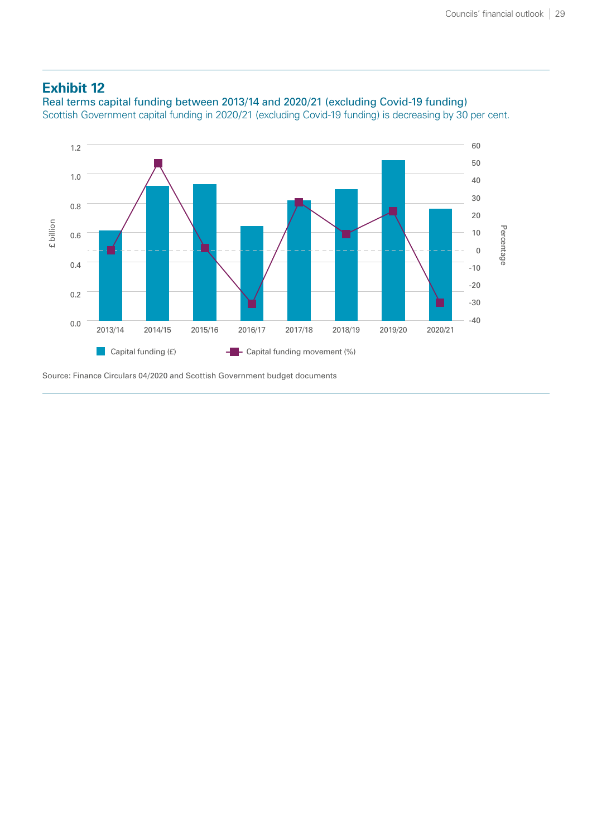#### <span id="page-35-0"></span>**Exhibit 12**

Real terms capital funding between 2013/14 and 2020/21 (excluding Covid-19 funding) Scottish Government capital funding in 2020/21 (excluding Covid-19 funding) is decreasing by 30 per cent.



Source: Finance Circulars 04/2020 and Scottish Government budget documents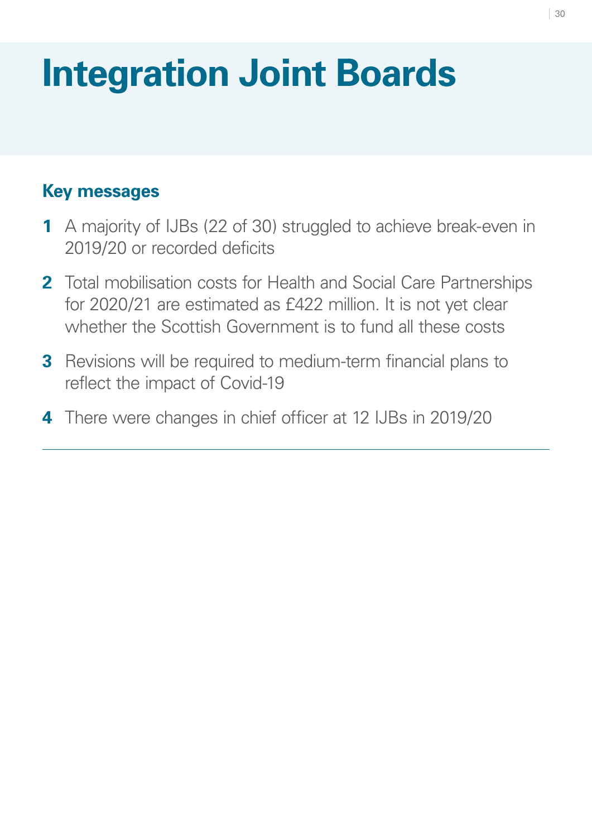# <span id="page-36-0"></span>**Integration Joint Boards**

# **Key messages**

- **1** A majority of IJBs (22 of 30) struggled to achieve break-even in 2019/20 or recorded deficits
- **2** Total mobilisation costs for Health and Social Care Partnerships for 2020/21 are estimated as £422 million. It is not yet clear whether the Scottish Government is to fund all these costs
- **3** Revisions will be required to medium-term financial plans to reflect the impact of Covid-19
- **4** There were changes in chief officer at 12 IJBs in 2019/20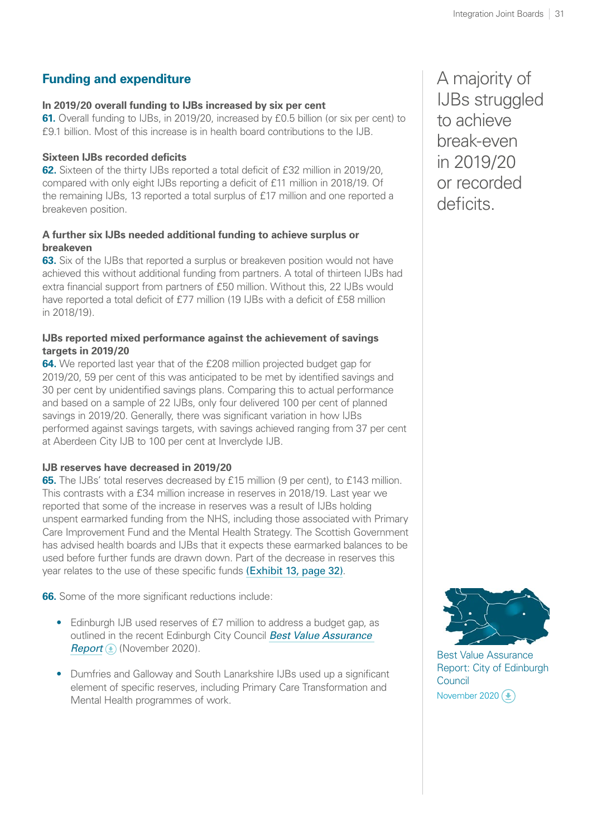# **Funding and expenditure**

#### **In 2019/20 overall funding to IJBs increased by six per cent**

**61.** Overall funding to IJBs, in 2019/20, increased by £0.5 billion (or six per cent) to £9.1 billion. Most of this increase is in health board contributions to the IJB.

#### **Sixteen IJBs recorded deficits**

**62.** Sixteen of the thirty IJBs reported a total deficit of £32 million in 2019/20. compared with only eight IJBs reporting a deficit of £11 million in 2018/19. Of the remaining IJBs, 13 reported a total surplus of £17 million and one reported a breakeven position.

#### **A further six IJBs needed additional funding to achieve surplus or breakeven**

**63.** Six of the IJBs that reported a surplus or breakeven position would not have achieved this without additional funding from partners. A total of thirteen IJBs had extra financial support from partners of £50 million. Without this, 22 IJBs would have reported a total deficit of £77 million (19 IJBs with a deficit of £58 million in 2018/19).

#### **IJBs reported mixed performance against the achievement of savings targets in 2019/20**

**64.** We reported last year that of the £208 million projected budget gap for 2019/20, 59 per cent of this was anticipated to be met by identified savings and 30 per cent by unidentified savings plans. Comparing this to actual performance and based on a sample of 22 IJBs, only four delivered 100 per cent of planned savings in 2019/20. Generally, there was significant variation in how IJBs performed against savings targets, with savings achieved ranging from 37 per cent at Aberdeen City IJB to 100 per cent at Inverclyde IJB.

#### **IJB reserves have decreased in 2019/20**

**65.** The IJBs' total reserves decreased by £15 million (9 per cent), to £143 million. This contrasts with a £34 million increase in reserves in 2018/19. Last year we reported that some of the increase in reserves was a result of IJBs holding unspent earmarked funding from the NHS, including those associated with Primary Care Improvement Fund and the Mental Health Strategy. The Scottish Government has advised health boards and IJBs that it expects these earmarked balances to be used before further funds are drawn down. Part of the decrease in reserves this year relates to the use of these specific funds [\(Exhibit 13, page](#page-38-0) 32).

**66.** Some of the more significant reductions include:

- Edinburgh IJB used reserves of £7 million to address a budget gap, as outlined in the recent Edinburgh City Council *[Best Value Assurance](https://www.audit-scotland.gov.uk/uploads/docs/report/2020/bv_201126_edinburgh.pdf)  [Report](https://www.audit-scotland.gov.uk/uploads/docs/report/2020/bv_201126_edinburgh.pdf)* (*A*) (November 2020).
- Dumfries and Galloway and South Lanarkshire IJBs used up a significant element of specific reserves, including Primary Care Transformation and Mental Health programmes of work.

A majority of IJBs struggled to achieve break-even in 2019/20 or recorded deficits.



Best Value Assurance [Report: City of Edinburgh](https://www.audit-scotland.gov.uk/uploads/docs/report/2020/bv_201126_edinburgh.pdf)  Council November 2020 $($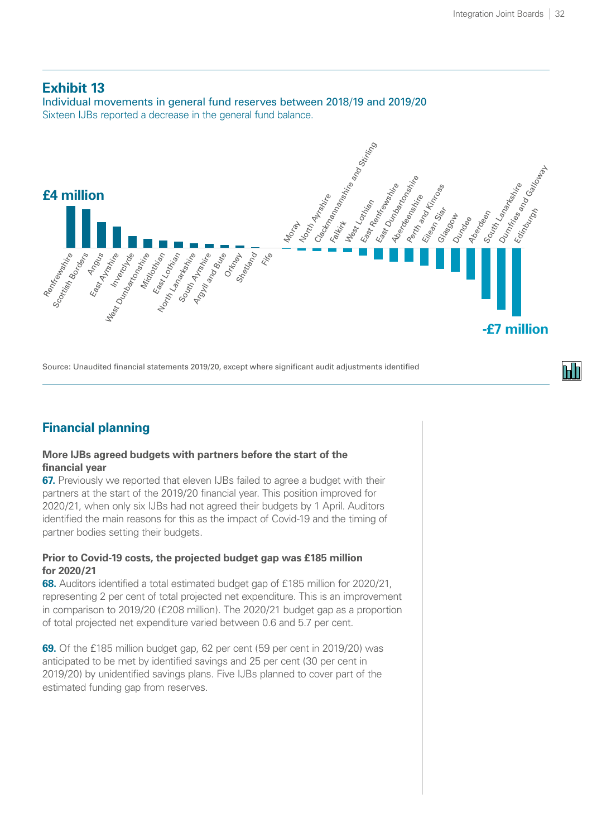#### <span id="page-38-0"></span>**Exhibit 13**

Individual movements in general fund reserves between 2018/19 and 2019/20 Sixteen IJBs reported a decrease in the general fund balance.



Source: Unaudited financial statements 2019/20, except where significant audit adjustments identified

# **Financial planning**

#### **More IJBs agreed budgets with partners before the start of the financial year**

**67.** Previously we reported that eleven IJBs failed to agree a budget with their partners at the start of the 2019/20 financial year. This position improved for 2020/21, when only six IJBs had not agreed their budgets by 1 April. Auditors identified the main reasons for this as the impact of Covid-19 and the timing of partner bodies setting their budgets.

#### **Prior to Covid-19 costs, the projected budget gap was £185 million for 2020/21**

**68.** Auditors identified a total estimated budget gap of £185 million for 2020/21, representing 2 per cent of total projected net expenditure. This is an improvement in comparison to 2019/20 (£208 million). The 2020/21 budget gap as a proportion of total projected net expenditure varied between 0.6 and 5.7 per cent.

**69.** Of the £185 million budget gap, 62 per cent (59 per cent in 2019/20) was anticipated to be met by identified savings and 25 per cent (30 per cent in 2019/20) by unidentified savings plans. Five IJBs planned to cover part of the estimated funding gap from reserves.

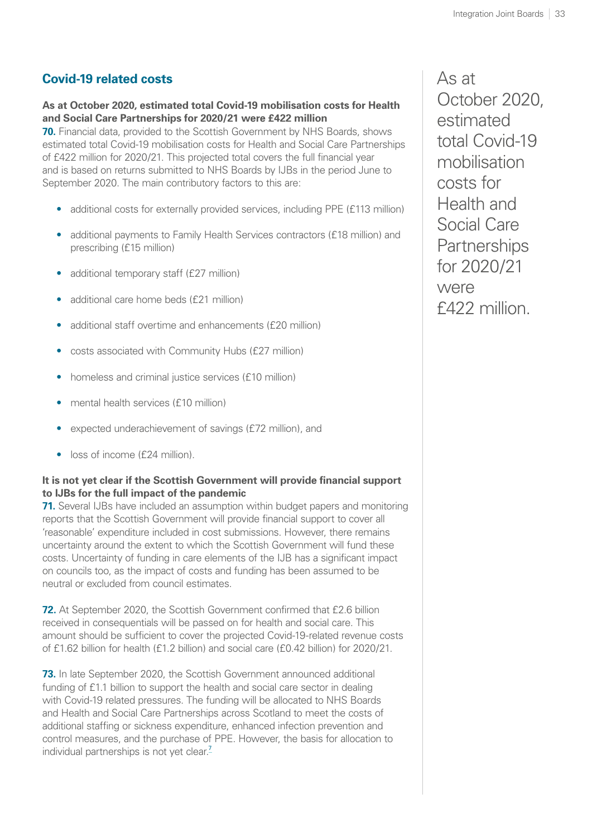### <span id="page-39-1"></span>**Covid-19 related costs**

**As at October 2020, estimated total Covid-19 mobilisation costs for Health and Social Care Partnerships for 2020/21 were £422 million**

<span id="page-39-0"></span>**70.** Financial data, provided to the Scottish Government by NHS Boards, shows estimated total Covid-19 mobilisation costs for Health and Social Care Partnerships of £422 million for 2020/21. This projected total covers the full financial year and is based on returns submitted to NHS Boards by IJBs in the period June to September 2020. The main contributory factors to this are:

- additional costs for externally provided services, including PPE (£113 million)
- additional payments to Family Health Services contractors (£18 million) and prescribing (£15 million)
- additional temporary staff (£27 million)
- additional care home beds (£21 million)
- additional staff overtime and enhancements (£20 million)
- costs associated with Community Hubs (£27 million)
- homeless and criminal justice services (£10 million)
- mental health services (£10 million)
- expected underachievement of savings (£72 million), and
- loss of income (£24 million).

#### **It is not yet clear if the Scottish Government will provide financial support to IJBs for the full impact of the pandemic**

**71.** Several IJBs have included an assumption within budget papers and monitoring reports that the Scottish Government will provide financial support to cover all 'reasonable' expenditure included in cost submissions. However, there remains uncertainty around the extent to which the Scottish Government will fund these costs. Uncertainty of funding in care elements of the IJB has a significant impact on councils too, as the impact of costs and funding has been assumed to be neutral or excluded from council estimates.

**72.** At September 2020, the Scottish Government confirmed that £2.6 billion received in consequentials will be passed on for health and social care. This amount should be sufficient to cover the projected Covid-19-related revenue costs of £1.62 billion for health (£1.2 billion) and social care (£0.42 billion) for 2020/21.

**73.** In late September 2020, the Scottish Government announced additional funding of £1.1 billion to support the health and social care sector in dealing with Covid-19 related pressures. The funding will be allocated to NHS Boards and Health and Social Care Partnerships across Scotland to meet the costs of additional staffing or sickness expenditure, enhanced infection prevention and control measures, and the purchase of PPE. However, the basis for allocation to individual partnerships is not yet clear.<sup>[7](#page-41-0)</sup>

As at October 2020, estimated total Covid-19 mobilisation costs for Health and Social Care **Partnerships** for 2020/21 were £422 million.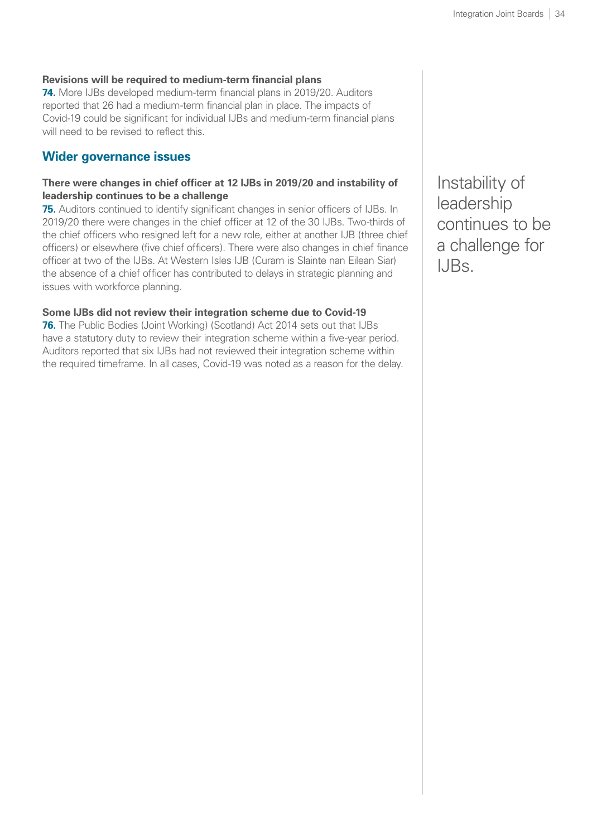#### **Revisions will be required to medium-term financial plans**

**74.** More IJBs developed medium-term financial plans in 2019/20. Auditors reported that 26 had a medium-term financial plan in place. The impacts of Covid-19 could be significant for individual IJBs and medium-term financial plans will need to be revised to reflect this.

#### **Wider governance issues**

#### **There were changes in chief officer at 12 IJBs in 2019/20 and instability of leadership continues to be a challenge**

**75.** Auditors continued to identify significant changes in senior officers of IJBs. In 2019/20 there were changes in the chief officer at 12 of the 30 IJBs. Two-thirds of the chief officers who resigned left for a new role, either at another IJB (three chief officers) or elsewhere (five chief officers). There were also changes in chief finance officer at two of the IJBs. At Western Isles IJB (Curam is Slainte nan Eilean Siar) the absence of a chief officer has contributed to delays in strategic planning and issues with workforce planning.

#### **Some IJBs did not review their integration scheme due to Covid-19**

**76.** The Public Bodies (Joint Working) (Scotland) Act 2014 sets out that IJBs have a statutory duty to review their integration scheme within a five-year period. Auditors reported that six IJBs had not reviewed their integration scheme within the required timeframe. In all cases, Covid-19 was noted as a reason for the delay.

Instability of leadership continues to be a challenge for IJBs.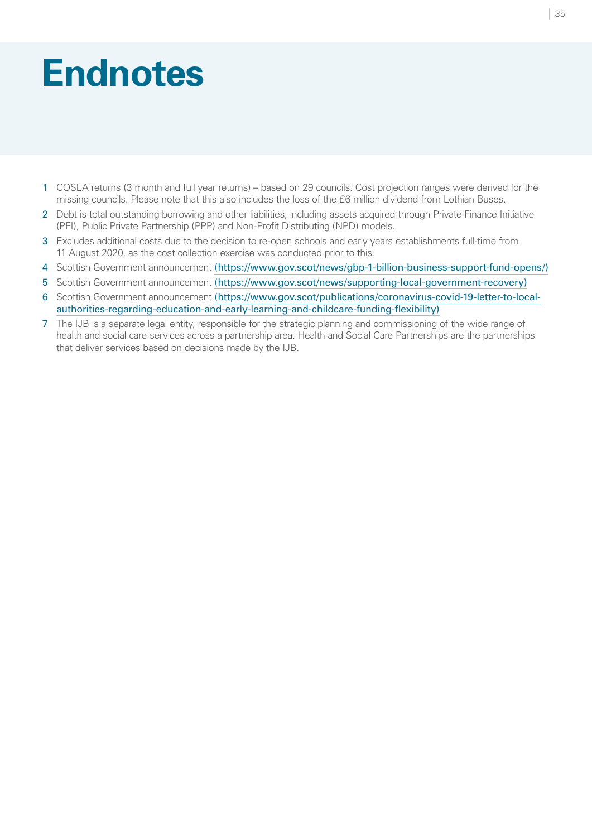# <span id="page-41-0"></span>**Endnotes**

- [1](#page-20-0) COSLA returns (3 month and full year returns) based on 29 councils. Cost projection ranges were derived for the missing councils. Please note that this also includes the loss of the £6 million dividend from Lothian Buses.
- [2](#page-25-2) Debt is total outstanding borrowing and other liabilities, including assets acquired through Private Finance Initiative (PFI), Public Private Partnership (PPP) and Non-Profit Distributing (NPD) models.
- [3](#page-30-1) Excludes additional costs due to the decision to re-open schools and early years establishments full-time from 11 August 2020, as the cost collection exercise was conducted prior to this.
- [4](#page-31-1) Scottish Government announcement [\(https://www.gov.scot/news/gbp-1-billion-business-support-fund-opens/](https://www.gov.scot/news/gbp-1-billion-business-support-fund-opens/))
- [5](#page-33-1) Scottish Government announcement [\(https://www.gov.scot/news/supporting-local-government-recovery\)](https://www.gov.scot/news/supporting-local-government-recovery)
- [6](#page-34-0) Scottish Government announcement [\(https://www.gov.scot/publications/coronavirus-covid-19-letter-to-local](https://www.gov.scot/publications/coronavirus-covid-19-letter-to-local-authorities-regarding-education-and-early-learning-and-childcare-funding-flexibility)[authorities-regarding-education-and-early-learning-and-childcare-funding-flexibility\)](https://www.gov.scot/publications/coronavirus-covid-19-letter-to-local-authorities-regarding-education-and-early-learning-and-childcare-funding-flexibility)
- [7](#page-39-1) The IJB is a separate legal entity, responsible for the strategic planning and commissioning of the wide range of health and social care services across a partnership area. Health and Social Care Partnerships are the partnerships that deliver services based on decisions made by the IJB.